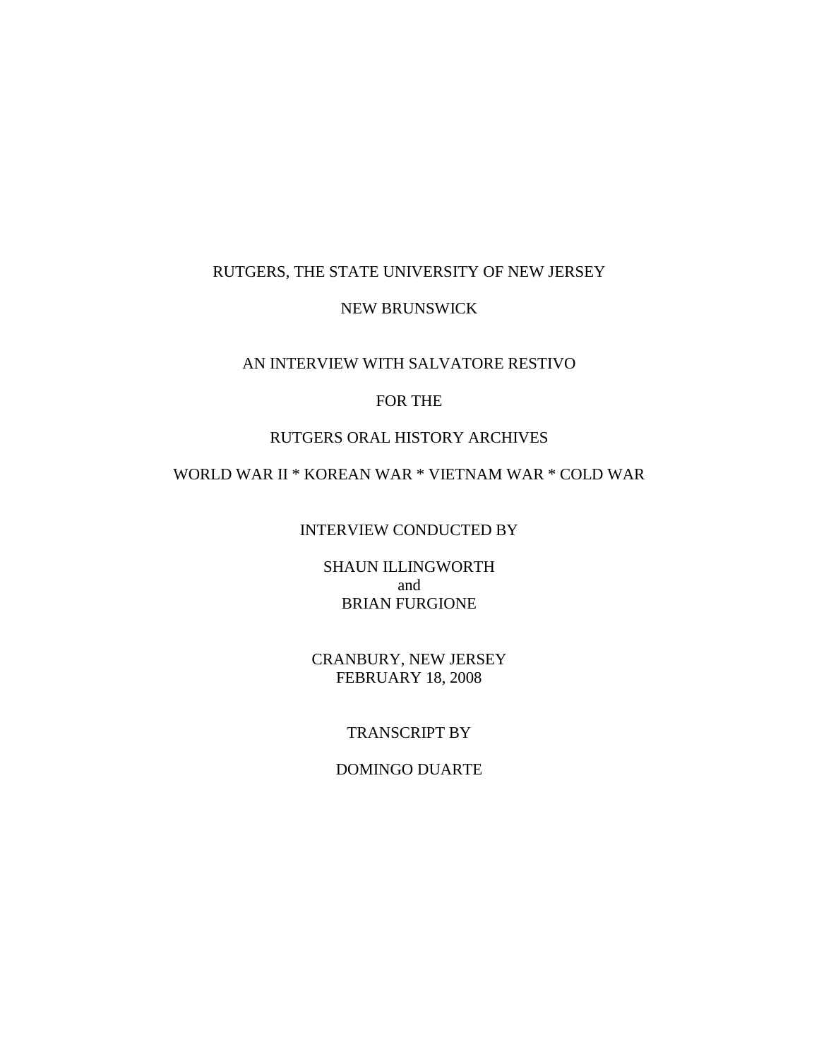#### RUTGERS, THE STATE UNIVERSITY OF NEW JERSEY

#### NEW BRUNSWICK

### AN INTERVIEW WITH SALVATORE RESTIVO

### FOR THE

### RUTGERS ORAL HISTORY ARCHIVES

# WORLD WAR II \* KOREAN WAR \* VIETNAM WAR \* COLD WAR

#### INTERVIEW CONDUCTED BY

SHAUN ILLINGWORTH and BRIAN FURGIONE

CRANBURY, NEW JERSEY FEBRUARY 18, 2008

### TRANSCRIPT BY

#### DOMINGO DUARTE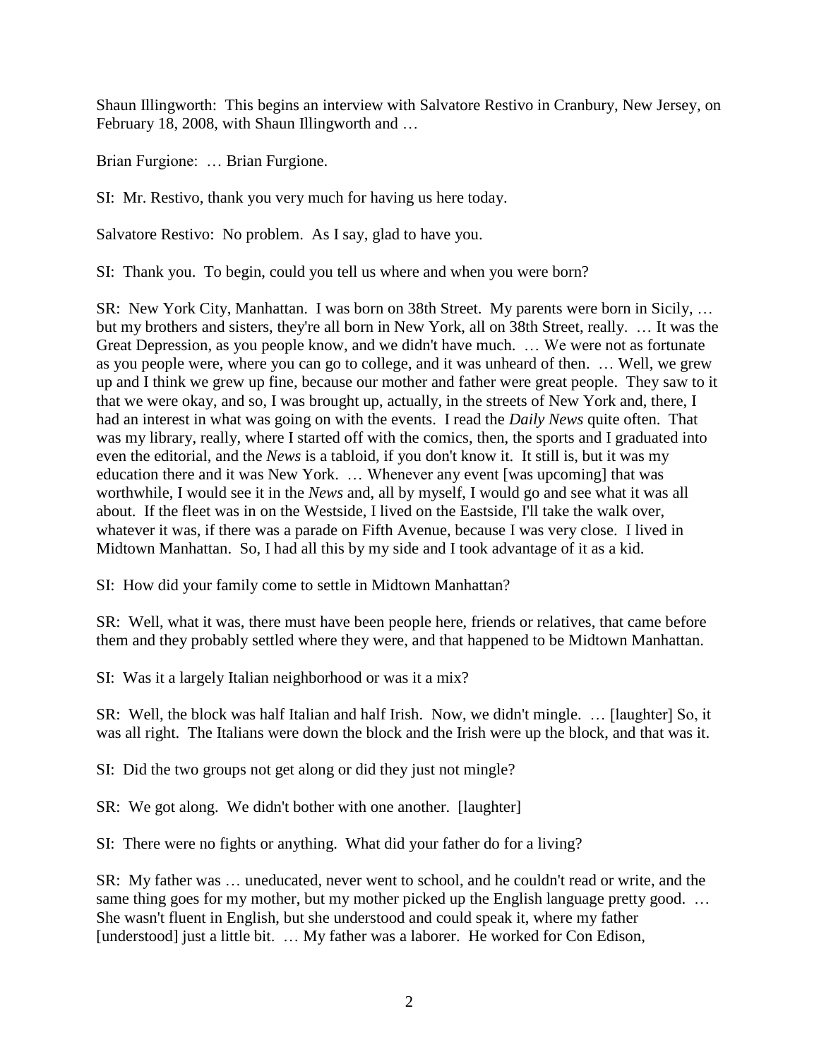Shaun Illingworth: This begins an interview with Salvatore Restivo in Cranbury, New Jersey, on February 18, 2008, with Shaun Illingworth and …

Brian Furgione: … Brian Furgione.

SI: Mr. Restivo, thank you very much for having us here today.

Salvatore Restivo: No problem. As I say, glad to have you.

SI: Thank you. To begin, could you tell us where and when you were born?

SR: New York City, Manhattan. I was born on 38th Street. My parents were born in Sicily, … but my brothers and sisters, they're all born in New York, all on 38th Street, really. … It was the Great Depression, as you people know, and we didn't have much. … We were not as fortunate as you people were, where you can go to college, and it was unheard of then. … Well, we grew up and I think we grew up fine, because our mother and father were great people. They saw to it that we were okay, and so, I was brought up, actually, in the streets of New York and, there, I had an interest in what was going on with the events. I read the *Daily News* quite often. That was my library, really, where I started off with the comics, then, the sports and I graduated into even the editorial, and the *News* is a tabloid, if you don't know it. It still is, but it was my education there and it was New York. … Whenever any event [was upcoming] that was worthwhile, I would see it in the *News* and, all by myself, I would go and see what it was all about. If the fleet was in on the Westside, I lived on the Eastside, I'll take the walk over, whatever it was, if there was a parade on Fifth Avenue, because I was very close. I lived in Midtown Manhattan. So, I had all this by my side and I took advantage of it as a kid.

SI: How did your family come to settle in Midtown Manhattan?

SR: Well, what it was, there must have been people here, friends or relatives, that came before them and they probably settled where they were, and that happened to be Midtown Manhattan.

SI: Was it a largely Italian neighborhood or was it a mix?

SR: Well, the block was half Italian and half Irish. Now, we didn't mingle. … [laughter] So, it was all right. The Italians were down the block and the Irish were up the block, and that was it.

SI: Did the two groups not get along or did they just not mingle?

SR: We got along. We didn't bother with one another. [laughter]

SI: There were no fights or anything. What did your father do for a living?

SR: My father was … uneducated, never went to school, and he couldn't read or write, and the same thing goes for my mother, but my mother picked up the English language pretty good... She wasn't fluent in English, but she understood and could speak it, where my father [understood] just a little bit. ... My father was a laborer. He worked for Con Edison,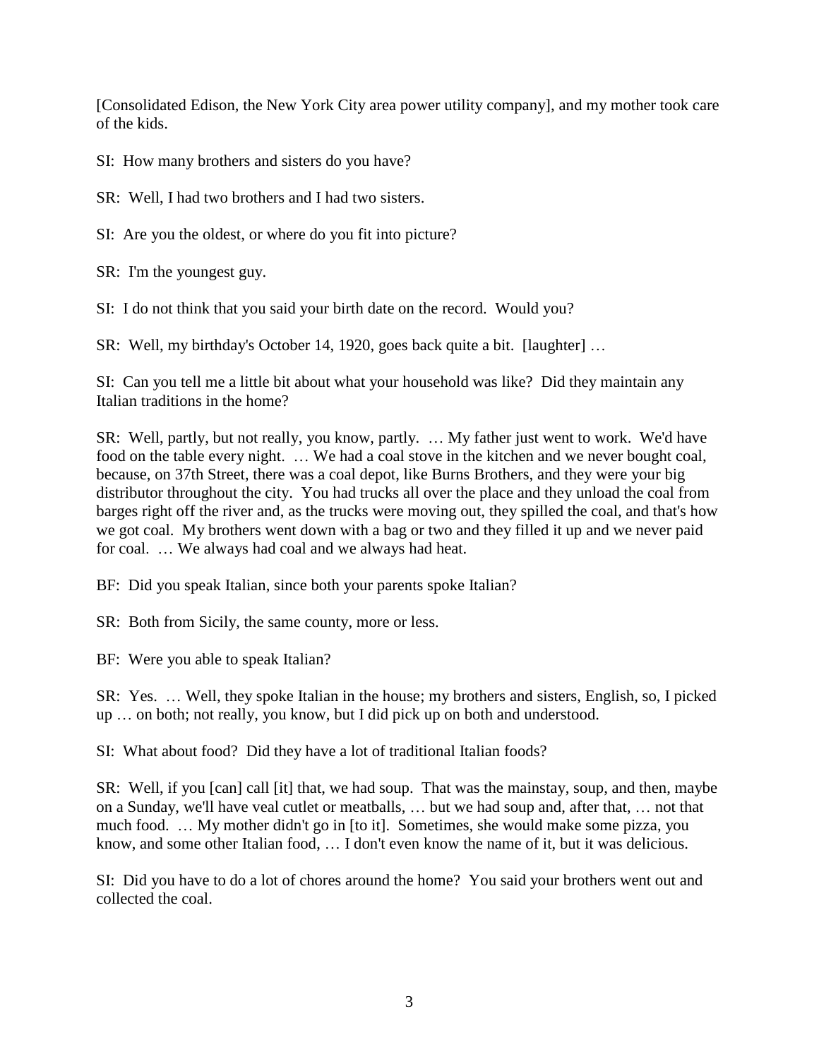[Consolidated Edison, the New York City area power utility company], and my mother took care of the kids.

SI: How many brothers and sisters do you have?

SR: Well, I had two brothers and I had two sisters.

SI: Are you the oldest, or where do you fit into picture?

SR: I'm the youngest guy.

SI: I do not think that you said your birth date on the record. Would you?

SR: Well, my birthday's October 14, 1920, goes back quite a bit. [laughter] …

SI: Can you tell me a little bit about what your household was like? Did they maintain any Italian traditions in the home?

SR: Well, partly, but not really, you know, partly. … My father just went to work. We'd have food on the table every night. … We had a coal stove in the kitchen and we never bought coal, because, on 37th Street, there was a coal depot, like Burns Brothers, and they were your big distributor throughout the city. You had trucks all over the place and they unload the coal from barges right off the river and, as the trucks were moving out, they spilled the coal, and that's how we got coal. My brothers went down with a bag or two and they filled it up and we never paid for coal. … We always had coal and we always had heat.

BF: Did you speak Italian, since both your parents spoke Italian?

SR: Both from Sicily, the same county, more or less.

BF: Were you able to speak Italian?

SR: Yes. … Well, they spoke Italian in the house; my brothers and sisters, English, so, I picked up … on both; not really, you know, but I did pick up on both and understood.

SI: What about food? Did they have a lot of traditional Italian foods?

SR: Well, if you [can] call [it] that, we had soup. That was the mainstay, soup, and then, maybe on a Sunday, we'll have veal cutlet or meatballs, … but we had soup and, after that, … not that much food. … My mother didn't go in [to it]. Sometimes, she would make some pizza, you know, and some other Italian food, … I don't even know the name of it, but it was delicious.

SI: Did you have to do a lot of chores around the home? You said your brothers went out and collected the coal.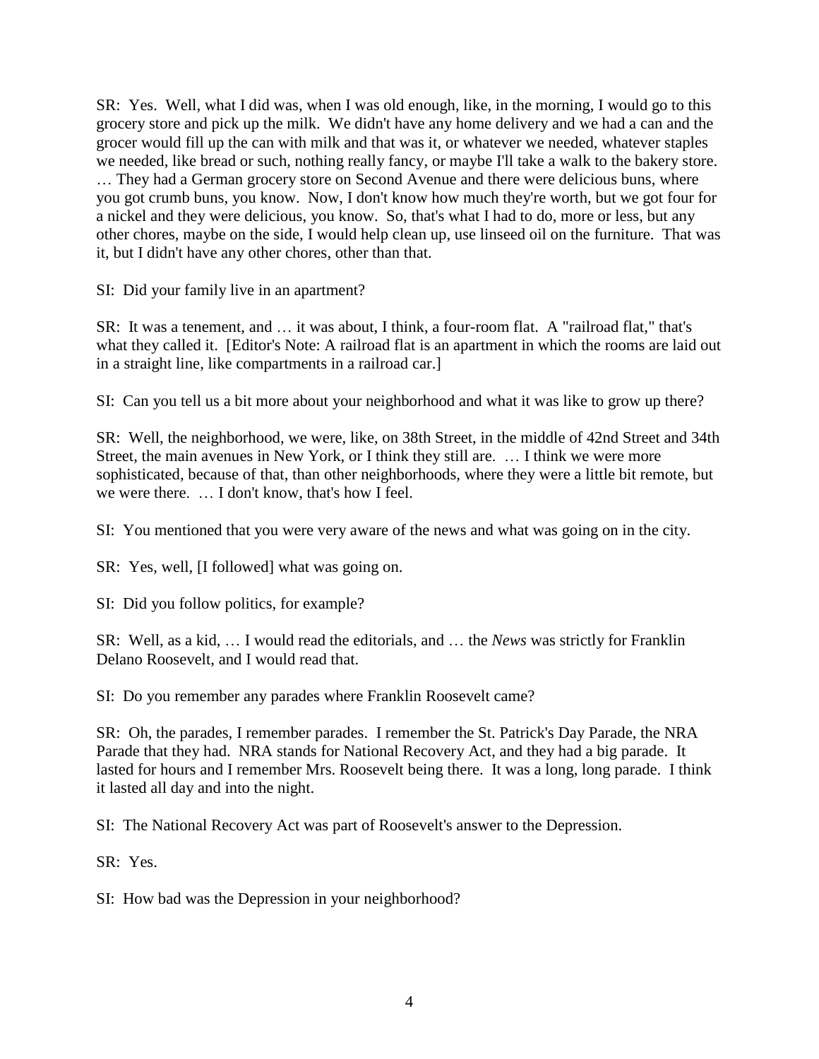SR: Yes. Well, what I did was, when I was old enough, like, in the morning, I would go to this grocery store and pick up the milk. We didn't have any home delivery and we had a can and the grocer would fill up the can with milk and that was it, or whatever we needed, whatever staples we needed, like bread or such, nothing really fancy, or maybe I'll take a walk to the bakery store. … They had a German grocery store on Second Avenue and there were delicious buns, where you got crumb buns, you know. Now, I don't know how much they're worth, but we got four for a nickel and they were delicious, you know. So, that's what I had to do, more or less, but any other chores, maybe on the side, I would help clean up, use linseed oil on the furniture. That was it, but I didn't have any other chores, other than that.

SI: Did your family live in an apartment?

SR: It was a tenement, and … it was about, I think, a four-room flat. A "railroad flat," that's what they called it. [Editor's Note: A railroad flat is an apartment in which the rooms are laid out in a straight line, like compartments in a railroad car.]

SI: Can you tell us a bit more about your neighborhood and what it was like to grow up there?

SR: Well, the neighborhood, we were, like, on 38th Street, in the middle of 42nd Street and 34th Street, the main avenues in New York, or I think they still are. … I think we were more sophisticated, because of that, than other neighborhoods, where they were a little bit remote, but we were there. … I don't know, that's how I feel.

SI: You mentioned that you were very aware of the news and what was going on in the city.

SR: Yes, well, [I followed] what was going on.

SI: Did you follow politics, for example?

SR: Well, as a kid, … I would read the editorials, and … the *News* was strictly for Franklin Delano Roosevelt, and I would read that.

SI: Do you remember any parades where Franklin Roosevelt came?

SR: Oh, the parades, I remember parades. I remember the St. Patrick's Day Parade, the NRA Parade that they had. NRA stands for National Recovery Act, and they had a big parade. It lasted for hours and I remember Mrs. Roosevelt being there. It was a long, long parade. I think it lasted all day and into the night.

SI: The National Recovery Act was part of Roosevelt's answer to the Depression.

SR: Yes.

SI: How bad was the Depression in your neighborhood?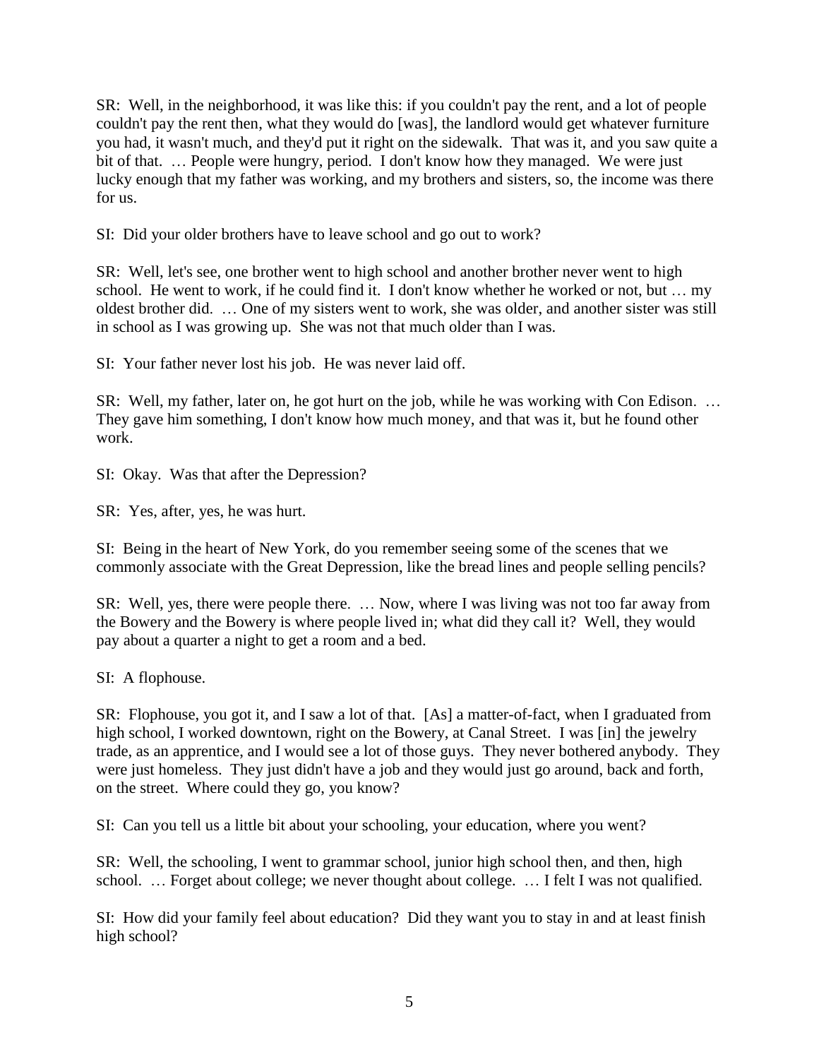SR: Well, in the neighborhood, it was like this: if you couldn't pay the rent, and a lot of people couldn't pay the rent then, what they would do [was], the landlord would get whatever furniture you had, it wasn't much, and they'd put it right on the sidewalk. That was it, and you saw quite a bit of that. … People were hungry, period. I don't know how they managed. We were just lucky enough that my father was working, and my brothers and sisters, so, the income was there for us.

SI: Did your older brothers have to leave school and go out to work?

SR: Well, let's see, one brother went to high school and another brother never went to high school. He went to work, if he could find it. I don't know whether he worked or not, but … my oldest brother did. … One of my sisters went to work, she was older, and another sister was still in school as I was growing up. She was not that much older than I was.

SI: Your father never lost his job. He was never laid off.

SR: Well, my father, later on, he got hurt on the job, while he was working with Con Edison. … They gave him something, I don't know how much money, and that was it, but he found other work.

SI: Okay. Was that after the Depression?

SR: Yes, after, yes, he was hurt.

SI: Being in the heart of New York, do you remember seeing some of the scenes that we commonly associate with the Great Depression, like the bread lines and people selling pencils?

SR: Well, yes, there were people there. … Now, where I was living was not too far away from the Bowery and the Bowery is where people lived in; what did they call it? Well, they would pay about a quarter a night to get a room and a bed.

SI: A flophouse.

SR: Flophouse, you got it, and I saw a lot of that. [As] a matter-of-fact, when I graduated from high school, I worked downtown, right on the Bowery, at Canal Street. I was [in] the jewelry trade, as an apprentice, and I would see a lot of those guys. They never bothered anybody. They were just homeless. They just didn't have a job and they would just go around, back and forth, on the street. Where could they go, you know?

SI: Can you tell us a little bit about your schooling, your education, where you went?

SR: Well, the schooling, I went to grammar school, junior high school then, and then, high school. … Forget about college; we never thought about college. … I felt I was not qualified.

SI: How did your family feel about education? Did they want you to stay in and at least finish high school?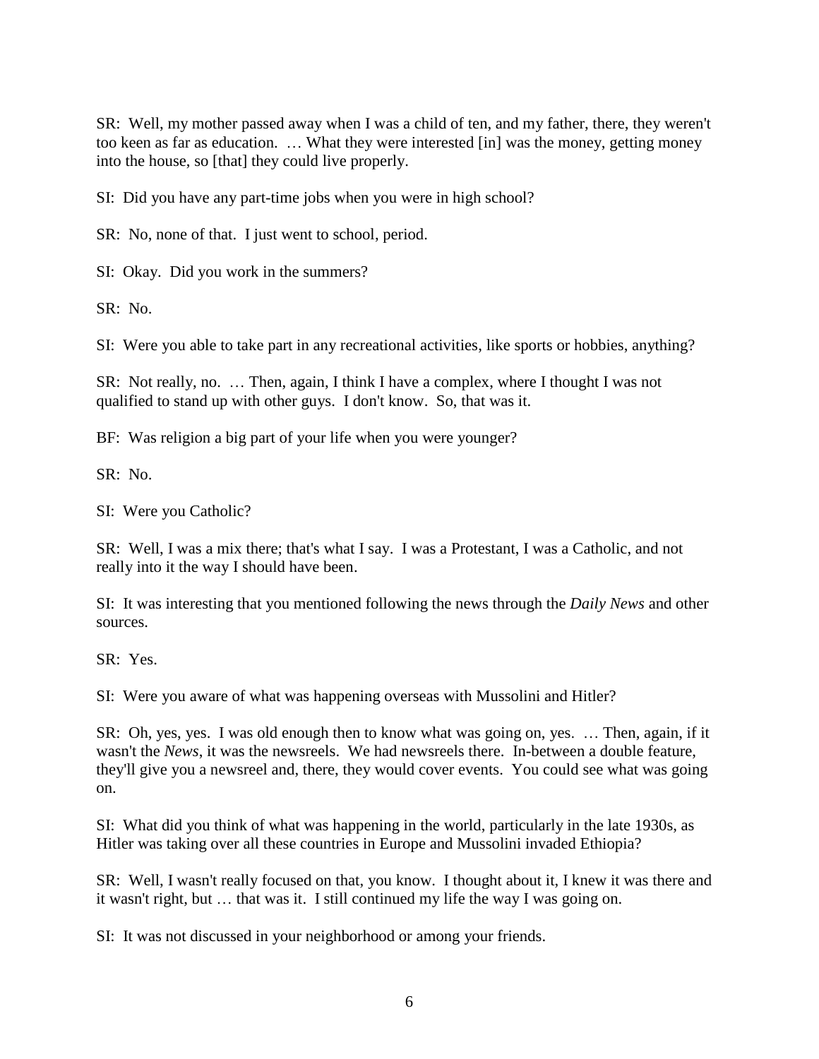SR: Well, my mother passed away when I was a child of ten, and my father, there, they weren't too keen as far as education. … What they were interested [in] was the money, getting money into the house, so [that] they could live properly.

SI: Did you have any part-time jobs when you were in high school?

SR: No, none of that. I just went to school, period.

SI: Okay. Did you work in the summers?

SR: No.

SI: Were you able to take part in any recreational activities, like sports or hobbies, anything?

SR: Not really, no. … Then, again, I think I have a complex, where I thought I was not qualified to stand up with other guys. I don't know. So, that was it.

BF: Was religion a big part of your life when you were younger?

 $SR: No.$ 

SI: Were you Catholic?

SR: Well, I was a mix there; that's what I say. I was a Protestant, I was a Catholic, and not really into it the way I should have been.

SI: It was interesting that you mentioned following the news through the *Daily News* and other sources.

SR: Yes.

SI: Were you aware of what was happening overseas with Mussolini and Hitler?

SR: Oh, yes, yes. I was old enough then to know what was going on, yes. … Then, again, if it wasn't the *News*, it was the newsreels. We had newsreels there. In-between a double feature, they'll give you a newsreel and, there, they would cover events. You could see what was going on.

SI: What did you think of what was happening in the world, particularly in the late 1930s, as Hitler was taking over all these countries in Europe and Mussolini invaded Ethiopia?

SR: Well, I wasn't really focused on that, you know. I thought about it, I knew it was there and it wasn't right, but … that was it. I still continued my life the way I was going on.

SI: It was not discussed in your neighborhood or among your friends.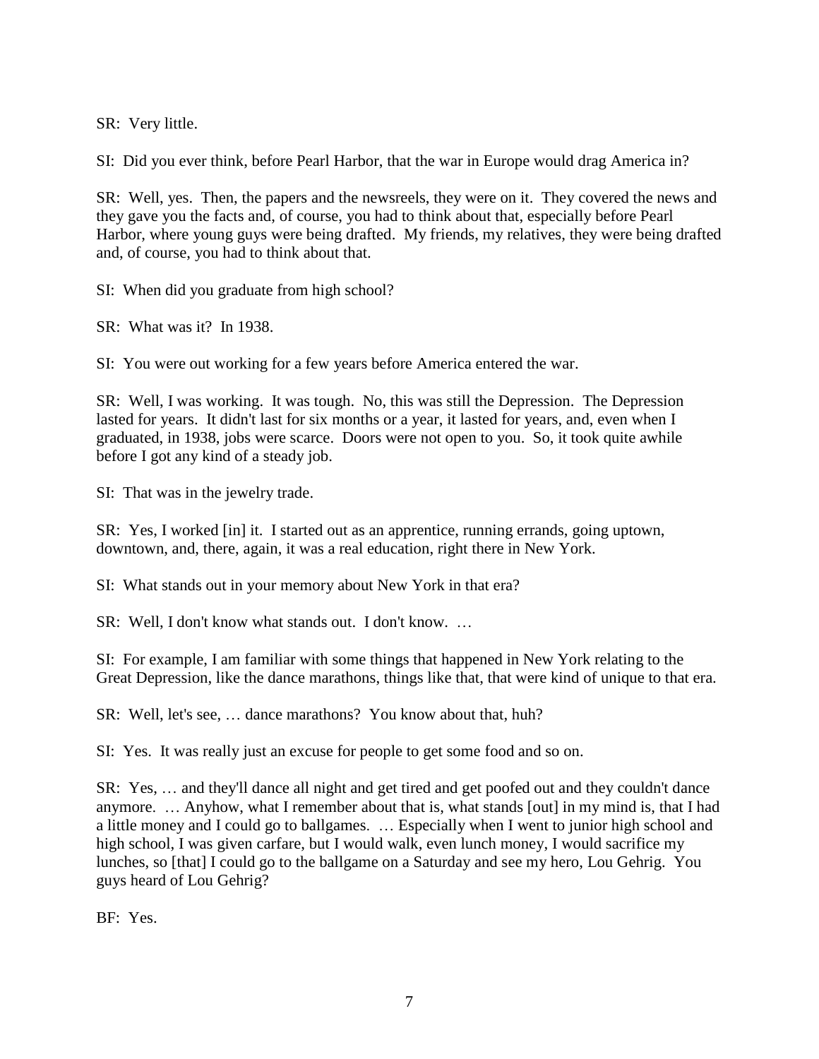SR: Very little.

SI: Did you ever think, before Pearl Harbor, that the war in Europe would drag America in?

SR: Well, yes. Then, the papers and the newsreels, they were on it. They covered the news and they gave you the facts and, of course, you had to think about that, especially before Pearl Harbor, where young guys were being drafted. My friends, my relatives, they were being drafted and, of course, you had to think about that.

SI: When did you graduate from high school?

SR: What was it? In 1938.

SI: You were out working for a few years before America entered the war.

SR: Well, I was working. It was tough. No, this was still the Depression. The Depression lasted for years. It didn't last for six months or a year, it lasted for years, and, even when I graduated, in 1938, jobs were scarce. Doors were not open to you. So, it took quite awhile before I got any kind of a steady job.

SI: That was in the jewelry trade.

SR: Yes, I worked [in] it. I started out as an apprentice, running errands, going uptown, downtown, and, there, again, it was a real education, right there in New York.

SI: What stands out in your memory about New York in that era?

SR: Well, I don't know what stands out. I don't know. …

SI: For example, I am familiar with some things that happened in New York relating to the Great Depression, like the dance marathons, things like that, that were kind of unique to that era.

SR: Well, let's see, … dance marathons? You know about that, huh?

SI: Yes. It was really just an excuse for people to get some food and so on.

SR: Yes, … and they'll dance all night and get tired and get poofed out and they couldn't dance anymore. … Anyhow, what I remember about that is, what stands [out] in my mind is, that I had a little money and I could go to ballgames. … Especially when I went to junior high school and high school, I was given carfare, but I would walk, even lunch money, I would sacrifice my lunches, so [that] I could go to the ballgame on a Saturday and see my hero, Lou Gehrig. You guys heard of Lou Gehrig?

BF: Yes.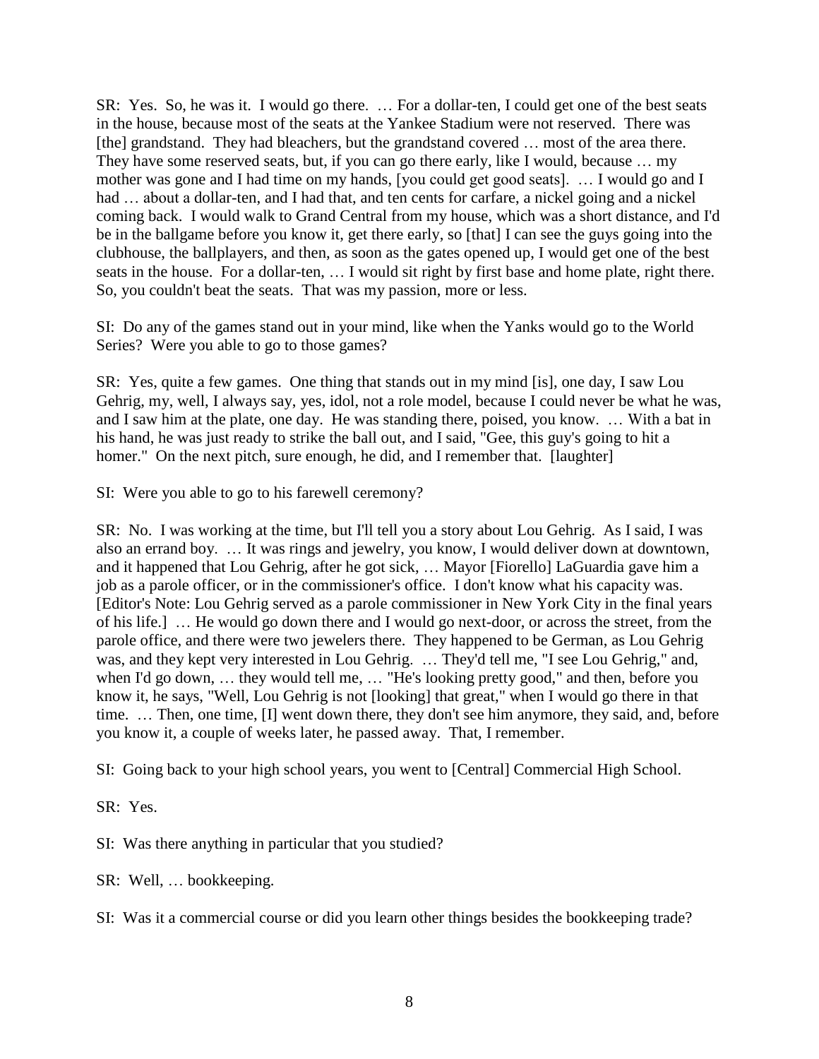SR: Yes. So, he was it. I would go there. … For a dollar-ten, I could get one of the best seats in the house, because most of the seats at the Yankee Stadium were not reserved. There was [the] grandstand. They had bleachers, but the grandstand covered ... most of the area there. They have some reserved seats, but, if you can go there early, like I would, because … my mother was gone and I had time on my hands, [you could get good seats]. … I would go and I had ... about a dollar-ten, and I had that, and ten cents for carfare, a nickel going and a nickel coming back. I would walk to Grand Central from my house, which was a short distance, and I'd be in the ballgame before you know it, get there early, so [that] I can see the guys going into the clubhouse, the ballplayers, and then, as soon as the gates opened up, I would get one of the best seats in the house. For a dollar-ten, … I would sit right by first base and home plate, right there. So, you couldn't beat the seats. That was my passion, more or less.

SI: Do any of the games stand out in your mind, like when the Yanks would go to the World Series? Were you able to go to those games?

SR: Yes, quite a few games. One thing that stands out in my mind [is], one day, I saw Lou Gehrig, my, well, I always say, yes, idol, not a role model, because I could never be what he was, and I saw him at the plate, one day. He was standing there, poised, you know. … With a bat in his hand, he was just ready to strike the ball out, and I said, "Gee, this guy's going to hit a homer." On the next pitch, sure enough, he did, and I remember that. [laughter]

SI: Were you able to go to his farewell ceremony?

SR: No. I was working at the time, but I'll tell you a story about Lou Gehrig. As I said, I was also an errand boy. … It was rings and jewelry, you know, I would deliver down at downtown, and it happened that Lou Gehrig, after he got sick, … Mayor [Fiorello] LaGuardia gave him a job as a parole officer, or in the commissioner's office. I don't know what his capacity was. [Editor's Note: Lou Gehrig served as a parole commissioner in New York City in the final years of his life.] … He would go down there and I would go next-door, or across the street, from the parole office, and there were two jewelers there. They happened to be German, as Lou Gehrig was, and they kept very interested in Lou Gehrig. … They'd tell me, "I see Lou Gehrig," and, when I'd go down, … they would tell me, … "He's looking pretty good," and then, before you know it, he says, "Well, Lou Gehrig is not [looking] that great," when I would go there in that time. … Then, one time, [I] went down there, they don't see him anymore, they said, and, before you know it, a couple of weeks later, he passed away. That, I remember.

SI: Going back to your high school years, you went to [Central] Commercial High School.

SR: Yes.

SI: Was there anything in particular that you studied?

SR: Well, … bookkeeping.

SI: Was it a commercial course or did you learn other things besides the bookkeeping trade?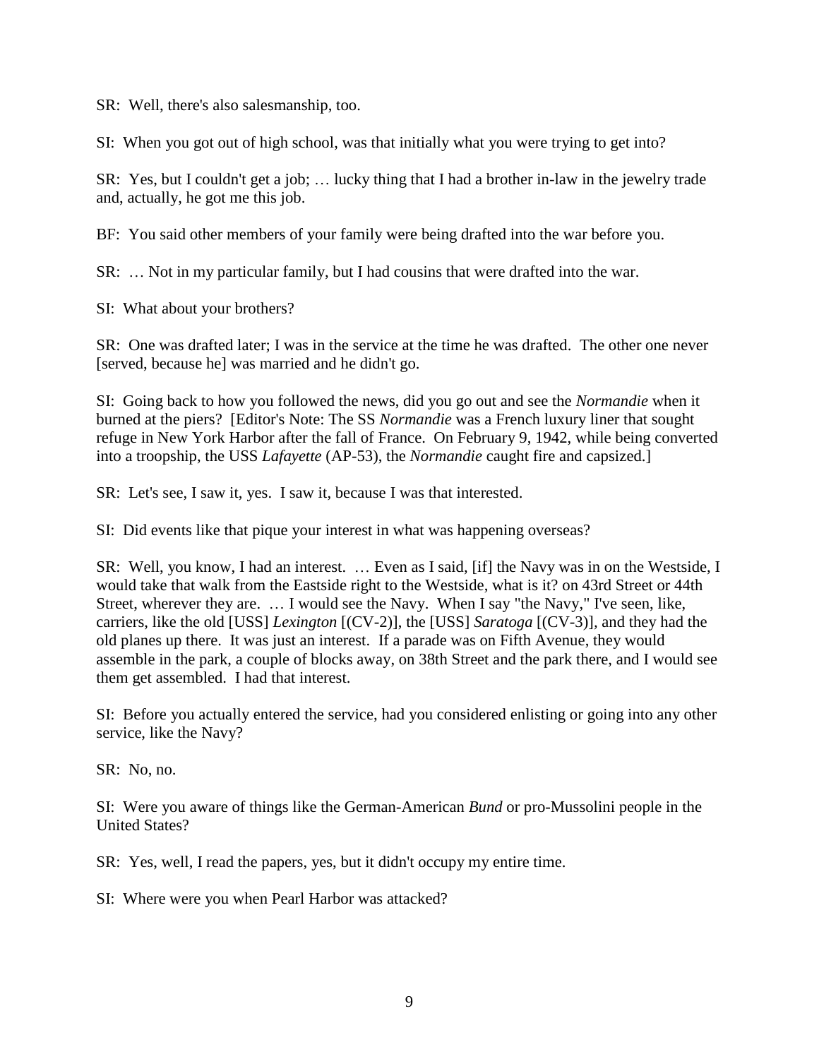SR: Well, there's also salesmanship, too.

SI: When you got out of high school, was that initially what you were trying to get into?

SR: Yes, but I couldn't get a job; … lucky thing that I had a brother in-law in the jewelry trade and, actually, he got me this job.

BF: You said other members of your family were being drafted into the war before you.

SR: … Not in my particular family, but I had cousins that were drafted into the war.

SI: What about your brothers?

SR: One was drafted later; I was in the service at the time he was drafted. The other one never [served, because he] was married and he didn't go.

SI: Going back to how you followed the news, did you go out and see the *Normandie* when it burned at the piers? [Editor's Note: The SS *Normandie* was a French luxury liner that sought refuge in New York Harbor after the fall of France. On February 9, 1942, while being converted into a troopship, the USS *Lafayette* (AP-53), the *Normandie* caught fire and capsized.]

SR: Let's see, I saw it, yes. I saw it, because I was that interested.

SI: Did events like that pique your interest in what was happening overseas?

SR: Well, you know, I had an interest. … Even as I said, [if] the Navy was in on the Westside, I would take that walk from the Eastside right to the Westside, what is it? on 43rd Street or 44th Street, wherever they are. … I would see the Navy. When I say "the Navy," I've seen, like, carriers, like the old [USS] *Lexington* [(CV-2)], the [USS] *Saratoga* [(CV-3)]*,* and they had the old planes up there. It was just an interest. If a parade was on Fifth Avenue, they would assemble in the park, a couple of blocks away, on 38th Street and the park there, and I would see them get assembled. I had that interest.

SI: Before you actually entered the service, had you considered enlisting or going into any other service, like the Navy?

SR: No, no.

SI: Were you aware of things like the German-American *Bund* or pro-Mussolini people in the United States?

SR: Yes, well, I read the papers, yes, but it didn't occupy my entire time.

SI: Where were you when Pearl Harbor was attacked?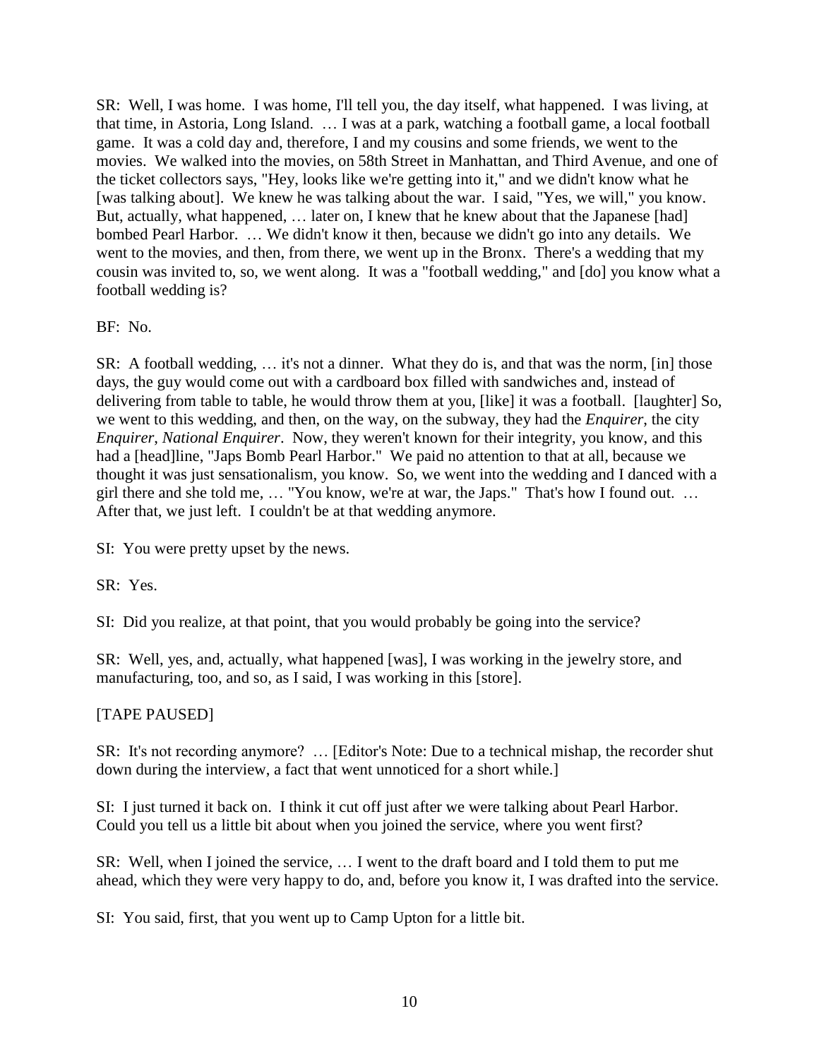SR: Well, I was home. I was home, I'll tell you, the day itself, what happened. I was living, at that time, in Astoria, Long Island. … I was at a park, watching a football game, a local football game. It was a cold day and, therefore, I and my cousins and some friends, we went to the movies. We walked into the movies, on 58th Street in Manhattan, and Third Avenue, and one of the ticket collectors says, "Hey, looks like we're getting into it," and we didn't know what he [was talking about]. We knew he was talking about the war. I said, "Yes, we will," you know. But, actually, what happened, ... later on, I knew that he knew about that the Japanese [had] bombed Pearl Harbor. … We didn't know it then, because we didn't go into any details. We went to the movies, and then, from there, we went up in the Bronx. There's a wedding that my cousin was invited to, so, we went along. It was a "football wedding," and [do] you know what a football wedding is?

### BF: No.

SR: A football wedding, … it's not a dinner. What they do is, and that was the norm, [in] those days, the guy would come out with a cardboard box filled with sandwiches and, instead of delivering from table to table, he would throw them at you, [like] it was a football. [laughter] So, we went to this wedding, and then, on the way, on the subway, they had the *Enquirer*, the city *Enquirer*, *National Enquirer*. Now, they weren't known for their integrity, you know, and this had a [head]line, "Japs Bomb Pearl Harbor." We paid no attention to that at all, because we thought it was just sensationalism, you know. So, we went into the wedding and I danced with a girl there and she told me, … "You know, we're at war, the Japs." That's how I found out. … After that, we just left. I couldn't be at that wedding anymore.

SI: You were pretty upset by the news.

SR: Yes.

SI: Did you realize, at that point, that you would probably be going into the service?

SR: Well, yes, and, actually, what happened [was], I was working in the jewelry store, and manufacturing, too, and so, as I said, I was working in this [store].

## [TAPE PAUSED]

SR: It's not recording anymore? … [Editor's Note: Due to a technical mishap, the recorder shut down during the interview, a fact that went unnoticed for a short while.]

SI: I just turned it back on. I think it cut off just after we were talking about Pearl Harbor. Could you tell us a little bit about when you joined the service, where you went first?

SR: Well, when I joined the service, … I went to the draft board and I told them to put me ahead, which they were very happy to do, and, before you know it, I was drafted into the service.

SI: You said, first, that you went up to Camp Upton for a little bit.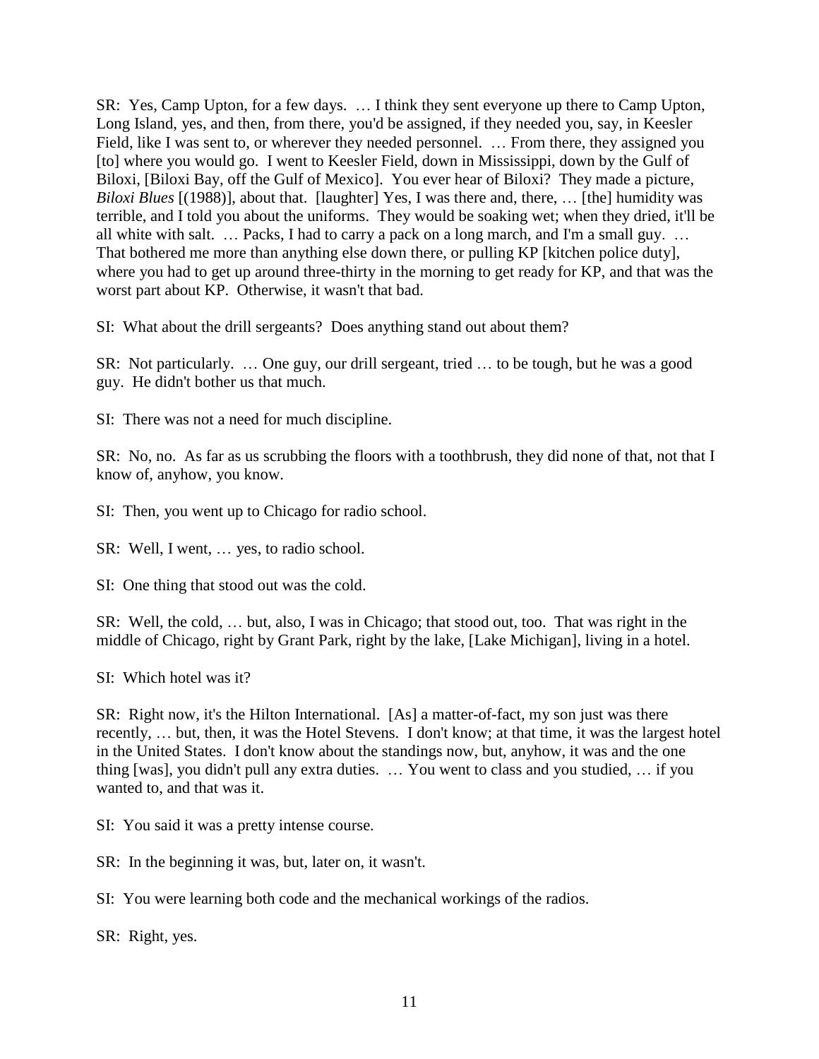SR: Yes, Camp Upton, for a few days. … I think they sent everyone up there to Camp Upton, Long Island, yes, and then, from there, you'd be assigned, if they needed you, say, in Keesler Field, like I was sent to, or wherever they needed personnel. … From there, they assigned you [to] where you would go. I went to Keesler Field, down in Mississippi, down by the Gulf of Biloxi, [Biloxi Bay, off the Gulf of Mexico]. You ever hear of Biloxi? They made a picture, *Biloxi Blues* [(1988)], about that. [laughter] Yes, I was there and, there, … [the] humidity was terrible, and I told you about the uniforms. They would be soaking wet; when they dried, it'll be all white with salt. … Packs, I had to carry a pack on a long march, and I'm a small guy. … That bothered me more than anything else down there, or pulling KP [kitchen police duty], where you had to get up around three-thirty in the morning to get ready for KP, and that was the worst part about KP. Otherwise, it wasn't that bad.

SI: What about the drill sergeants? Does anything stand out about them?

SR: Not particularly. … One guy, our drill sergeant, tried … to be tough, but he was a good guy. He didn't bother us that much.

SI: There was not a need for much discipline.

SR: No, no. As far as us scrubbing the floors with a toothbrush, they did none of that, not that I know of, anyhow, you know.

SI: Then, you went up to Chicago for radio school.

SR: Well, I went, … yes, to radio school.

SI: One thing that stood out was the cold.

SR: Well, the cold, … but, also, I was in Chicago; that stood out, too. That was right in the middle of Chicago, right by Grant Park, right by the lake, [Lake Michigan], living in a hotel.

SI: Which hotel was it?

SR: Right now, it's the Hilton International. [As] a matter-of-fact, my son just was there recently, … but, then, it was the Hotel Stevens. I don't know; at that time, it was the largest hotel in the United States. I don't know about the standings now, but, anyhow, it was and the one thing [was], you didn't pull any extra duties. … You went to class and you studied, … if you wanted to, and that was it.

SI: You said it was a pretty intense course.

SR: In the beginning it was, but, later on, it wasn't.

SI: You were learning both code and the mechanical workings of the radios.

SR: Right, yes.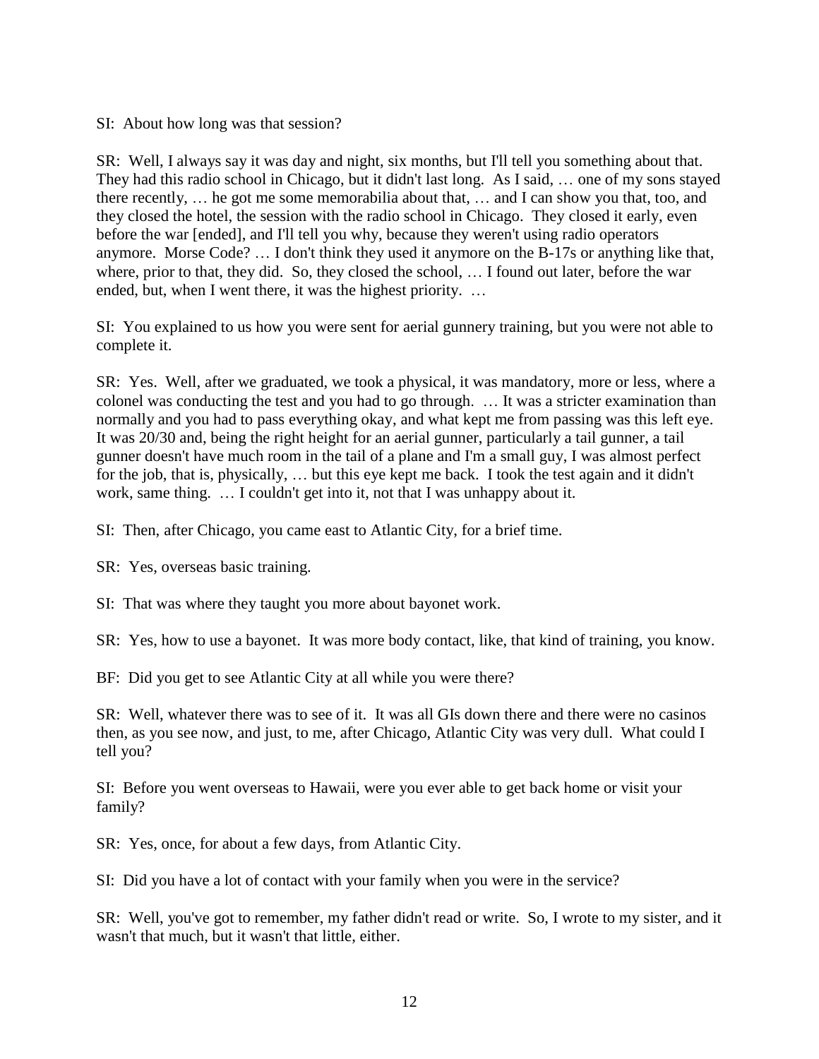SI: About how long was that session?

SR: Well, I always say it was day and night, six months, but I'll tell you something about that. They had this radio school in Chicago, but it didn't last long. As I said, … one of my sons stayed there recently, … he got me some memorabilia about that, … and I can show you that, too, and they closed the hotel, the session with the radio school in Chicago. They closed it early, even before the war [ended], and I'll tell you why, because they weren't using radio operators anymore. Morse Code? … I don't think they used it anymore on the B-17s or anything like that, where, prior to that, they did. So, they closed the school, … I found out later, before the war ended, but, when I went there, it was the highest priority. …

SI: You explained to us how you were sent for aerial gunnery training, but you were not able to complete it.

SR: Yes. Well, after we graduated, we took a physical, it was mandatory, more or less, where a colonel was conducting the test and you had to go through. … It was a stricter examination than normally and you had to pass everything okay, and what kept me from passing was this left eye. It was 20/30 and, being the right height for an aerial gunner, particularly a tail gunner, a tail gunner doesn't have much room in the tail of a plane and I'm a small guy, I was almost perfect for the job, that is, physically, … but this eye kept me back. I took the test again and it didn't work, same thing. … I couldn't get into it, not that I was unhappy about it.

SI: Then, after Chicago, you came east to Atlantic City, for a brief time.

SR: Yes, overseas basic training.

SI: That was where they taught you more about bayonet work.

SR: Yes, how to use a bayonet. It was more body contact, like, that kind of training, you know.

BF: Did you get to see Atlantic City at all while you were there?

SR: Well, whatever there was to see of it. It was all GIs down there and there were no casinos then, as you see now, and just, to me, after Chicago, Atlantic City was very dull. What could I tell you?

SI: Before you went overseas to Hawaii, were you ever able to get back home or visit your family?

SR: Yes, once, for about a few days, from Atlantic City.

SI: Did you have a lot of contact with your family when you were in the service?

SR: Well, you've got to remember, my father didn't read or write. So, I wrote to my sister, and it wasn't that much, but it wasn't that little, either.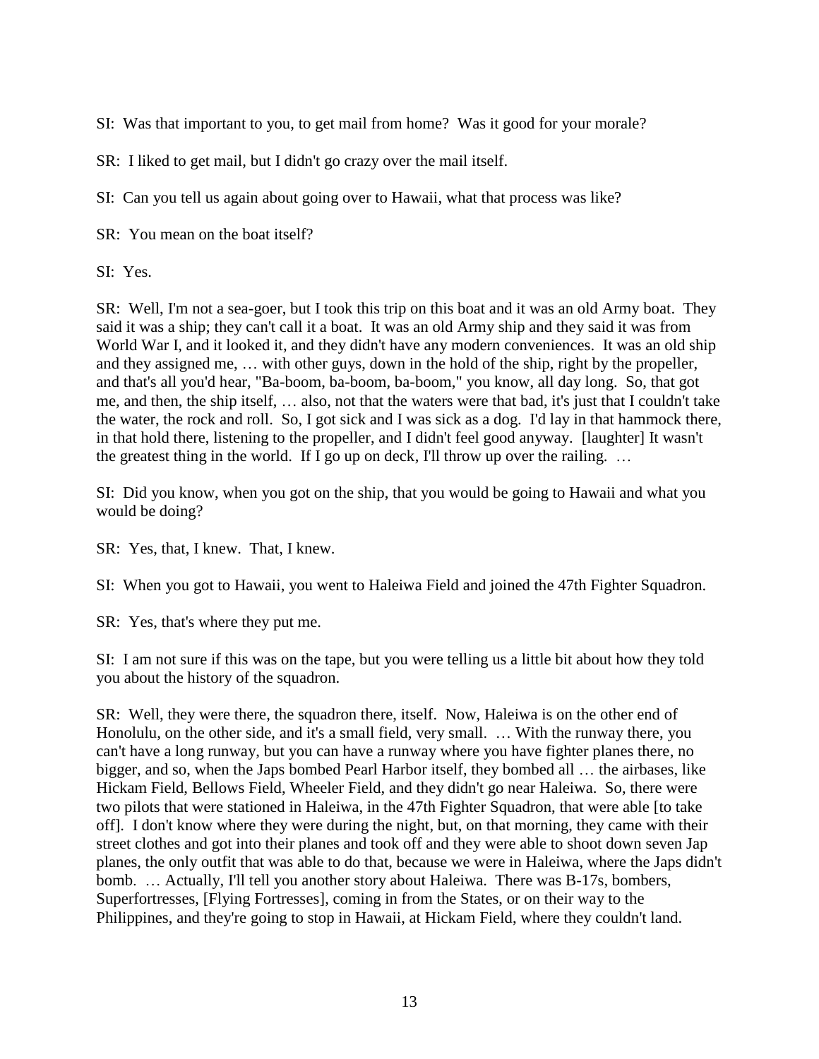SI: Was that important to you, to get mail from home? Was it good for your morale?

SR: I liked to get mail, but I didn't go crazy over the mail itself.

SI: Can you tell us again about going over to Hawaii, what that process was like?

SR: You mean on the boat itself?

SI: Yes.

SR: Well, I'm not a sea-goer, but I took this trip on this boat and it was an old Army boat. They said it was a ship; they can't call it a boat. It was an old Army ship and they said it was from World War I, and it looked it, and they didn't have any modern conveniences. It was an old ship and they assigned me, … with other guys, down in the hold of the ship, right by the propeller, and that's all you'd hear, "Ba-boom, ba-boom, ba-boom," you know, all day long. So, that got me, and then, the ship itself, … also, not that the waters were that bad, it's just that I couldn't take the water, the rock and roll. So, I got sick and I was sick as a dog. I'd lay in that hammock there, in that hold there, listening to the propeller, and I didn't feel good anyway. [laughter] It wasn't the greatest thing in the world. If I go up on deck, I'll throw up over the railing. …

SI: Did you know, when you got on the ship, that you would be going to Hawaii and what you would be doing?

SR: Yes, that, I knew. That, I knew.

SI: When you got to Hawaii, you went to Haleiwa Field and joined the 47th Fighter Squadron.

SR: Yes, that's where they put me.

SI: I am not sure if this was on the tape, but you were telling us a little bit about how they told you about the history of the squadron.

SR: Well, they were there, the squadron there, itself. Now, Haleiwa is on the other end of Honolulu, on the other side, and it's a small field, very small. … With the runway there, you can't have a long runway, but you can have a runway where you have fighter planes there, no bigger, and so, when the Japs bombed Pearl Harbor itself, they bombed all … the airbases, like Hickam Field, Bellows Field, Wheeler Field, and they didn't go near Haleiwa. So, there were two pilots that were stationed in Haleiwa, in the 47th Fighter Squadron, that were able [to take off]. I don't know where they were during the night, but, on that morning, they came with their street clothes and got into their planes and took off and they were able to shoot down seven Jap planes, the only outfit that was able to do that, because we were in Haleiwa, where the Japs didn't bomb. ... Actually, I'll tell you another story about Haleiwa. There was B-17s, bombers, Superfortresses, [Flying Fortresses], coming in from the States, or on their way to the Philippines, and they're going to stop in Hawaii, at Hickam Field, where they couldn't land.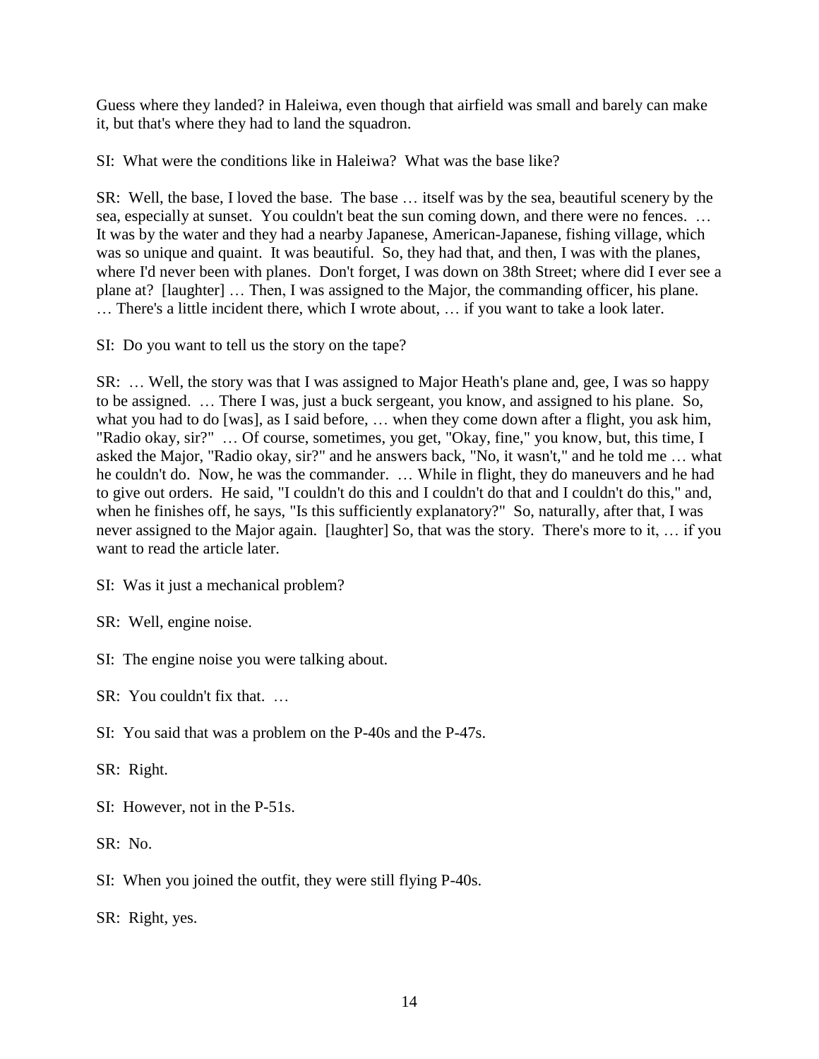Guess where they landed? in Haleiwa, even though that airfield was small and barely can make it, but that's where they had to land the squadron.

SI: What were the conditions like in Haleiwa? What was the base like?

SR: Well, the base, I loved the base. The base … itself was by the sea, beautiful scenery by the sea, especially at sunset. You couldn't beat the sun coming down, and there were no fences. … It was by the water and they had a nearby Japanese, American-Japanese, fishing village, which was so unique and quaint. It was beautiful. So, they had that, and then, I was with the planes, where I'd never been with planes. Don't forget, I was down on 38th Street; where did I ever see a plane at? [laughter] … Then, I was assigned to the Major, the commanding officer, his plane. … There's a little incident there, which I wrote about, … if you want to take a look later.

SI: Do you want to tell us the story on the tape?

SR: … Well, the story was that I was assigned to Major Heath's plane and, gee, I was so happy to be assigned. … There I was, just a buck sergeant, you know, and assigned to his plane. So, what you had to do [was], as I said before, … when they come down after a flight, you ask him, "Radio okay, sir?" … Of course, sometimes, you get, "Okay, fine," you know, but, this time, I asked the Major, "Radio okay, sir?" and he answers back, "No, it wasn't," and he told me … what he couldn't do. Now, he was the commander. … While in flight, they do maneuvers and he had to give out orders. He said, "I couldn't do this and I couldn't do that and I couldn't do this," and, when he finishes off, he says, "Is this sufficiently explanatory?" So, naturally, after that, I was never assigned to the Major again. [laughter] So, that was the story. There's more to it, … if you want to read the article later.

SI: Was it just a mechanical problem?

SR: Well, engine noise.

SI: The engine noise you were talking about.

SR: You couldn't fix that. …

SI: You said that was a problem on the P-40s and the P-47s.

SR: Right.

SI: However, not in the P-51s.

SR: No.

SI: When you joined the outfit, they were still flying P-40s.

SR: Right, yes.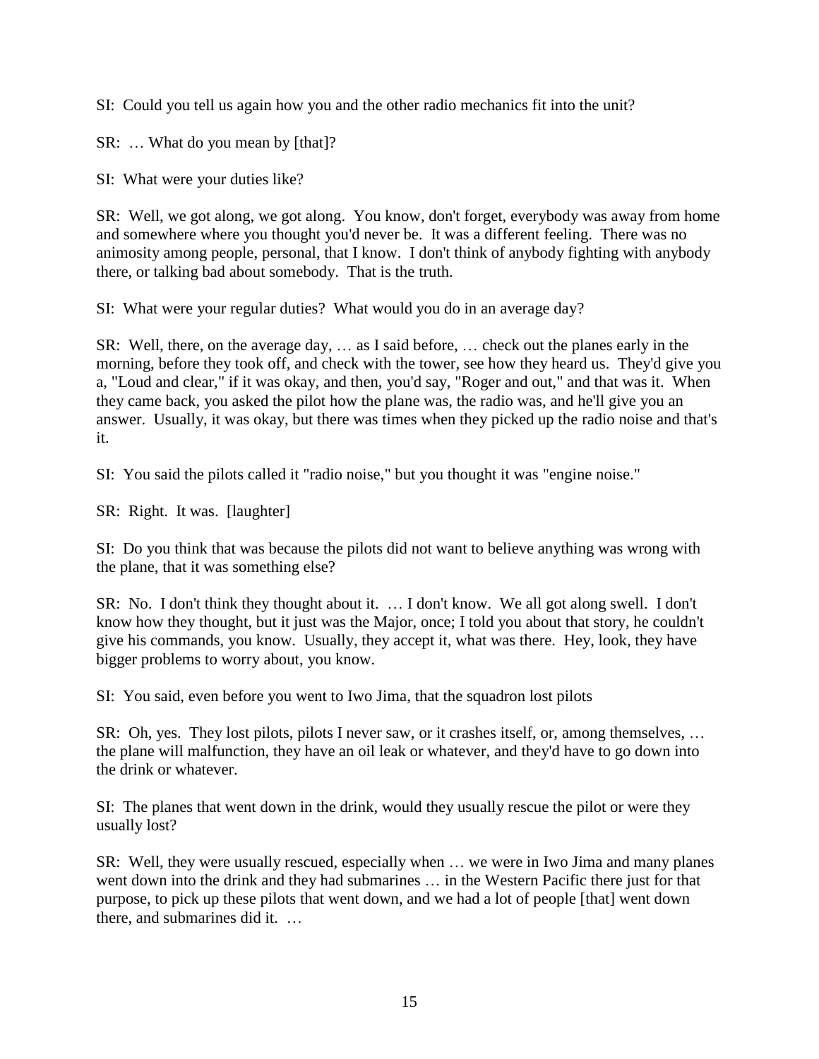SI: Could you tell us again how you and the other radio mechanics fit into the unit?

SR: … What do you mean by [that]?

SI: What were your duties like?

SR: Well, we got along, we got along. You know, don't forget, everybody was away from home and somewhere where you thought you'd never be. It was a different feeling. There was no animosity among people, personal, that I know. I don't think of anybody fighting with anybody there, or talking bad about somebody. That is the truth.

SI: What were your regular duties? What would you do in an average day?

SR: Well, there, on the average day, … as I said before, … check out the planes early in the morning, before they took off, and check with the tower, see how they heard us. They'd give you a, "Loud and clear," if it was okay, and then, you'd say, "Roger and out," and that was it. When they came back, you asked the pilot how the plane was, the radio was, and he'll give you an answer. Usually, it was okay, but there was times when they picked up the radio noise and that's it.

SI: You said the pilots called it "radio noise," but you thought it was "engine noise."

SR: Right. It was. [laughter]

SI: Do you think that was because the pilots did not want to believe anything was wrong with the plane, that it was something else?

SR: No. I don't think they thought about it. … I don't know. We all got along swell. I don't know how they thought, but it just was the Major, once; I told you about that story, he couldn't give his commands, you know. Usually, they accept it, what was there. Hey, look, they have bigger problems to worry about, you know.

SI: You said, even before you went to Iwo Jima, that the squadron lost pilots

SR: Oh, yes. They lost pilots, pilots I never saw, or it crashes itself, or, among themselves, … the plane will malfunction, they have an oil leak or whatever, and they'd have to go down into the drink or whatever.

SI: The planes that went down in the drink, would they usually rescue the pilot or were they usually lost?

SR: Well, they were usually rescued, especially when … we were in Iwo Jima and many planes went down into the drink and they had submarines … in the Western Pacific there just for that purpose, to pick up these pilots that went down, and we had a lot of people [that] went down there, and submarines did it. …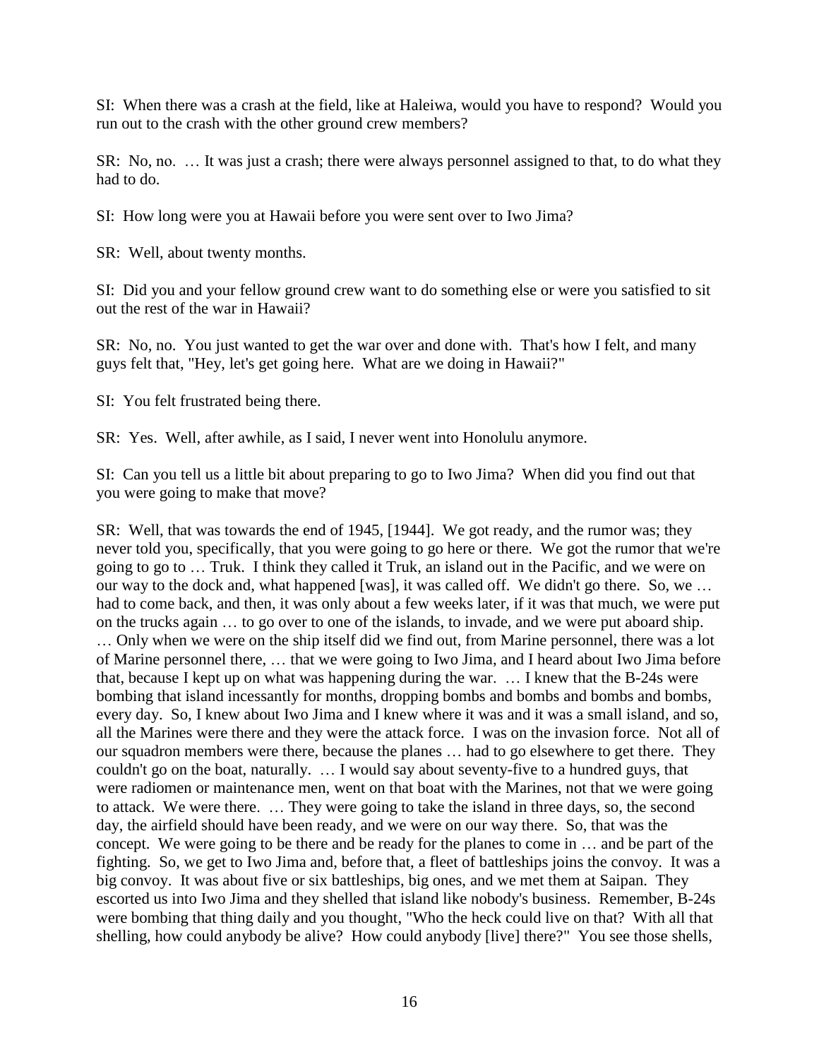SI: When there was a crash at the field, like at Haleiwa, would you have to respond? Would you run out to the crash with the other ground crew members?

SR: No, no. … It was just a crash; there were always personnel assigned to that, to do what they had to do.

SI: How long were you at Hawaii before you were sent over to Iwo Jima?

SR: Well, about twenty months.

SI: Did you and your fellow ground crew want to do something else or were you satisfied to sit out the rest of the war in Hawaii?

SR: No, no. You just wanted to get the war over and done with. That's how I felt, and many guys felt that, "Hey, let's get going here. What are we doing in Hawaii?"

SI: You felt frustrated being there.

SR: Yes. Well, after awhile, as I said, I never went into Honolulu anymore.

SI: Can you tell us a little bit about preparing to go to Iwo Jima? When did you find out that you were going to make that move?

SR: Well, that was towards the end of 1945, [1944]. We got ready, and the rumor was; they never told you, specifically, that you were going to go here or there. We got the rumor that we're going to go to … Truk. I think they called it Truk, an island out in the Pacific, and we were on our way to the dock and, what happened [was], it was called off. We didn't go there. So, we … had to come back, and then, it was only about a few weeks later, if it was that much, we were put on the trucks again … to go over to one of the islands, to invade, and we were put aboard ship. … Only when we were on the ship itself did we find out, from Marine personnel, there was a lot of Marine personnel there, … that we were going to Iwo Jima, and I heard about Iwo Jima before that, because I kept up on what was happening during the war. … I knew that the B-24s were bombing that island incessantly for months, dropping bombs and bombs and bombs and bombs, every day. So, I knew about Iwo Jima and I knew where it was and it was a small island, and so, all the Marines were there and they were the attack force. I was on the invasion force. Not all of our squadron members were there, because the planes … had to go elsewhere to get there. They couldn't go on the boat, naturally. … I would say about seventy-five to a hundred guys, that were radiomen or maintenance men, went on that boat with the Marines, not that we were going to attack. We were there. … They were going to take the island in three days, so, the second day, the airfield should have been ready, and we were on our way there. So, that was the concept. We were going to be there and be ready for the planes to come in … and be part of the fighting. So, we get to Iwo Jima and, before that, a fleet of battleships joins the convoy. It was a big convoy. It was about five or six battleships, big ones, and we met them at Saipan. They escorted us into Iwo Jima and they shelled that island like nobody's business. Remember, B-24s were bombing that thing daily and you thought, "Who the heck could live on that? With all that shelling, how could anybody be alive? How could anybody [live] there?" You see those shells,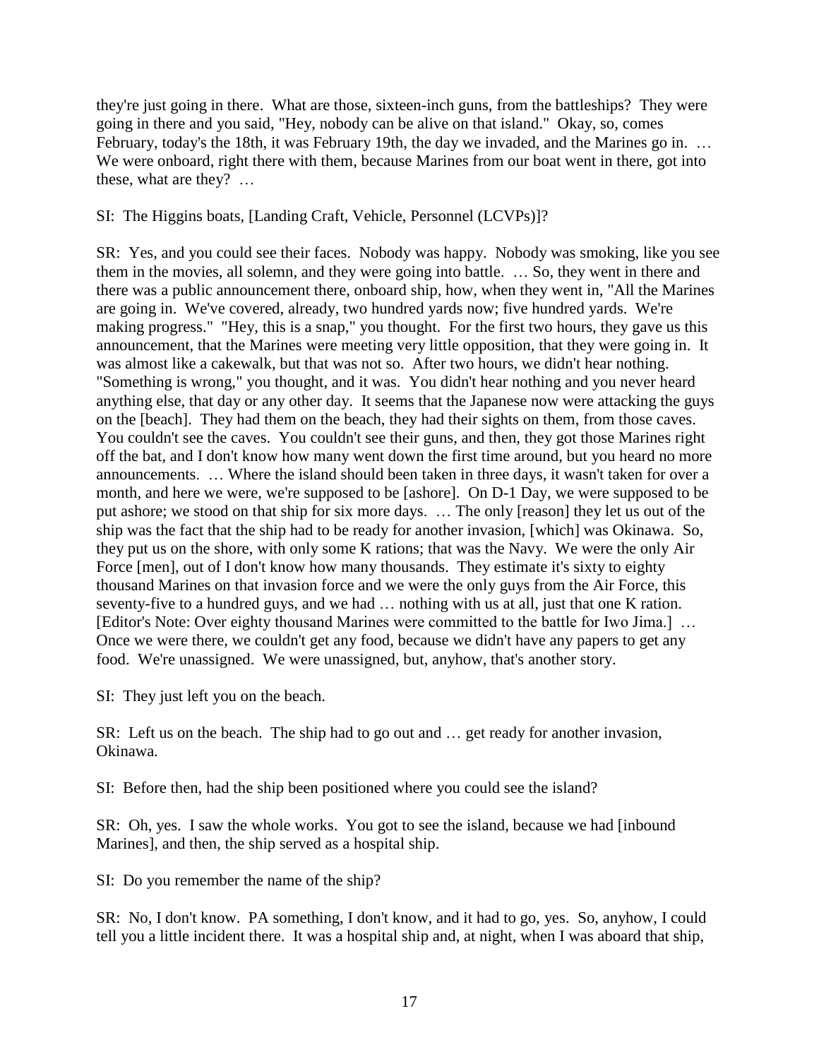they're just going in there. What are those, sixteen-inch guns, from the battleships? They were going in there and you said, "Hey, nobody can be alive on that island." Okay, so, comes February, today's the 18th, it was February 19th, the day we invaded, and the Marines go in. ... We were onboard, right there with them, because Marines from our boat went in there, got into these, what are they? …

SI: The Higgins boats, [Landing Craft, Vehicle, Personnel (LCVPs)]?

SR: Yes, and you could see their faces. Nobody was happy. Nobody was smoking, like you see them in the movies, all solemn, and they were going into battle. … So, they went in there and there was a public announcement there, onboard ship, how, when they went in, "All the Marines are going in. We've covered, already, two hundred yards now; five hundred yards. We're making progress." "Hey, this is a snap," you thought. For the first two hours, they gave us this announcement, that the Marines were meeting very little opposition, that they were going in. It was almost like a cakewalk, but that was not so. After two hours, we didn't hear nothing. "Something is wrong," you thought, and it was. You didn't hear nothing and you never heard anything else, that day or any other day. It seems that the Japanese now were attacking the guys on the [beach]. They had them on the beach, they had their sights on them, from those caves. You couldn't see the caves. You couldn't see their guns, and then, they got those Marines right off the bat, and I don't know how many went down the first time around, but you heard no more announcements. … Where the island should been taken in three days, it wasn't taken for over a month, and here we were, we're supposed to be [ashore]. On D-1 Day, we were supposed to be put ashore; we stood on that ship for six more days. … The only [reason] they let us out of the ship was the fact that the ship had to be ready for another invasion, [which] was Okinawa. So, they put us on the shore, with only some K rations; that was the Navy. We were the only Air Force [men], out of I don't know how many thousands. They estimate it's sixty to eighty thousand Marines on that invasion force and we were the only guys from the Air Force, this seventy-five to a hundred guys, and we had … nothing with us at all, just that one K ration. [Editor's Note: Over eighty thousand Marines were committed to the battle for Iwo Jima.] … Once we were there, we couldn't get any food, because we didn't have any papers to get any food. We're unassigned. We were unassigned, but, anyhow, that's another story.

SI: They just left you on the beach.

SR: Left us on the beach. The ship had to go out and … get ready for another invasion, Okinawa.

SI: Before then, had the ship been positioned where you could see the island?

SR: Oh, yes. I saw the whole works. You got to see the island, because we had [inbound Marines], and then, the ship served as a hospital ship.

SI: Do you remember the name of the ship?

SR: No, I don't know. PA something, I don't know, and it had to go, yes. So, anyhow, I could tell you a little incident there. It was a hospital ship and, at night, when I was aboard that ship,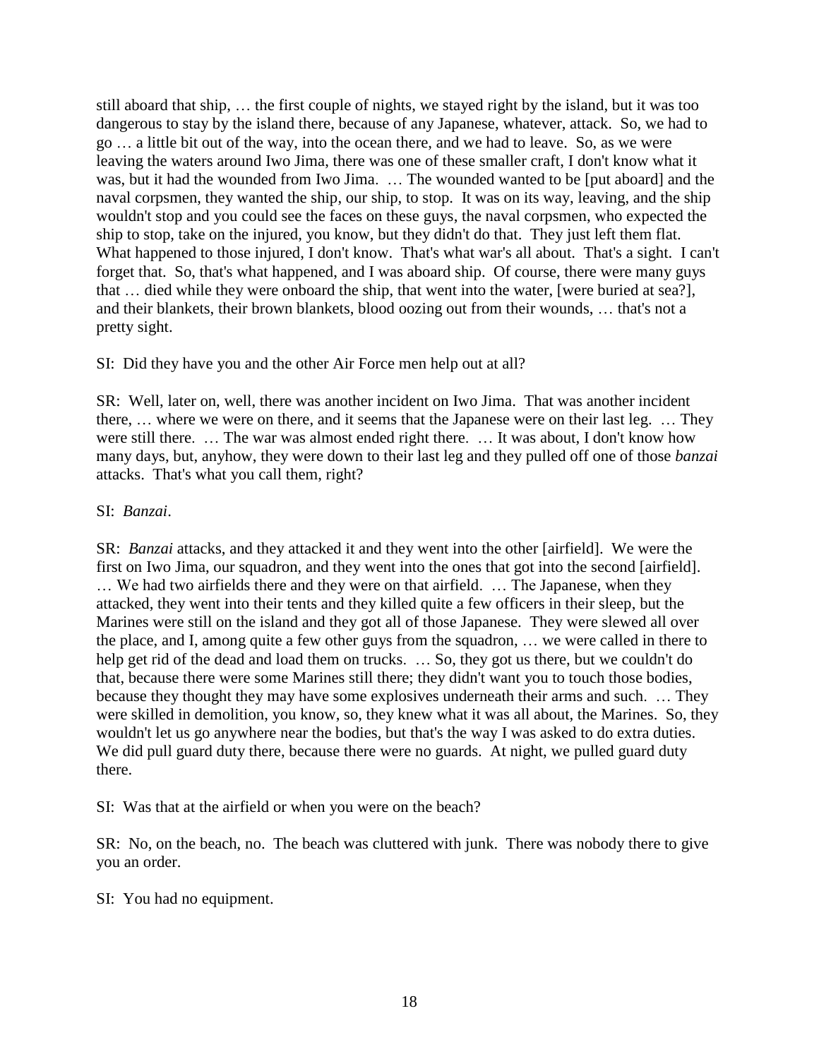still aboard that ship, … the first couple of nights, we stayed right by the island, but it was too dangerous to stay by the island there, because of any Japanese, whatever, attack. So, we had to go … a little bit out of the way, into the ocean there, and we had to leave. So, as we were leaving the waters around Iwo Jima, there was one of these smaller craft, I don't know what it was, but it had the wounded from Iwo Jima. … The wounded wanted to be [put aboard] and the naval corpsmen, they wanted the ship, our ship, to stop. It was on its way, leaving, and the ship wouldn't stop and you could see the faces on these guys, the naval corpsmen, who expected the ship to stop, take on the injured, you know, but they didn't do that. They just left them flat. What happened to those injured, I don't know. That's what war's all about. That's a sight. I can't forget that. So, that's what happened, and I was aboard ship. Of course, there were many guys that … died while they were onboard the ship, that went into the water, [were buried at sea?], and their blankets, their brown blankets, blood oozing out from their wounds, … that's not a pretty sight.

SI: Did they have you and the other Air Force men help out at all?

SR: Well, later on, well, there was another incident on Iwo Jima. That was another incident there, … where we were on there, and it seems that the Japanese were on their last leg. … They were still there. … The war was almost ended right there. … It was about, I don't know how many days, but, anyhow, they were down to their last leg and they pulled off one of those *banzai* attacks. That's what you call them, right?

### SI: *Banzai*.

SR: *Banzai* attacks, and they attacked it and they went into the other [airfield]. We were the first on Iwo Jima, our squadron, and they went into the ones that got into the second [airfield]. … We had two airfields there and they were on that airfield. … The Japanese, when they attacked, they went into their tents and they killed quite a few officers in their sleep, but the Marines were still on the island and they got all of those Japanese. They were slewed all over the place, and I, among quite a few other guys from the squadron, … we were called in there to help get rid of the dead and load them on trucks. ... So, they got us there, but we couldn't do that, because there were some Marines still there; they didn't want you to touch those bodies, because they thought they may have some explosives underneath their arms and such. … They were skilled in demolition, you know, so, they knew what it was all about, the Marines. So, they wouldn't let us go anywhere near the bodies, but that's the way I was asked to do extra duties. We did pull guard duty there, because there were no guards. At night, we pulled guard duty there.

SI: Was that at the airfield or when you were on the beach?

SR: No, on the beach, no. The beach was cluttered with junk. There was nobody there to give you an order.

#### SI: You had no equipment.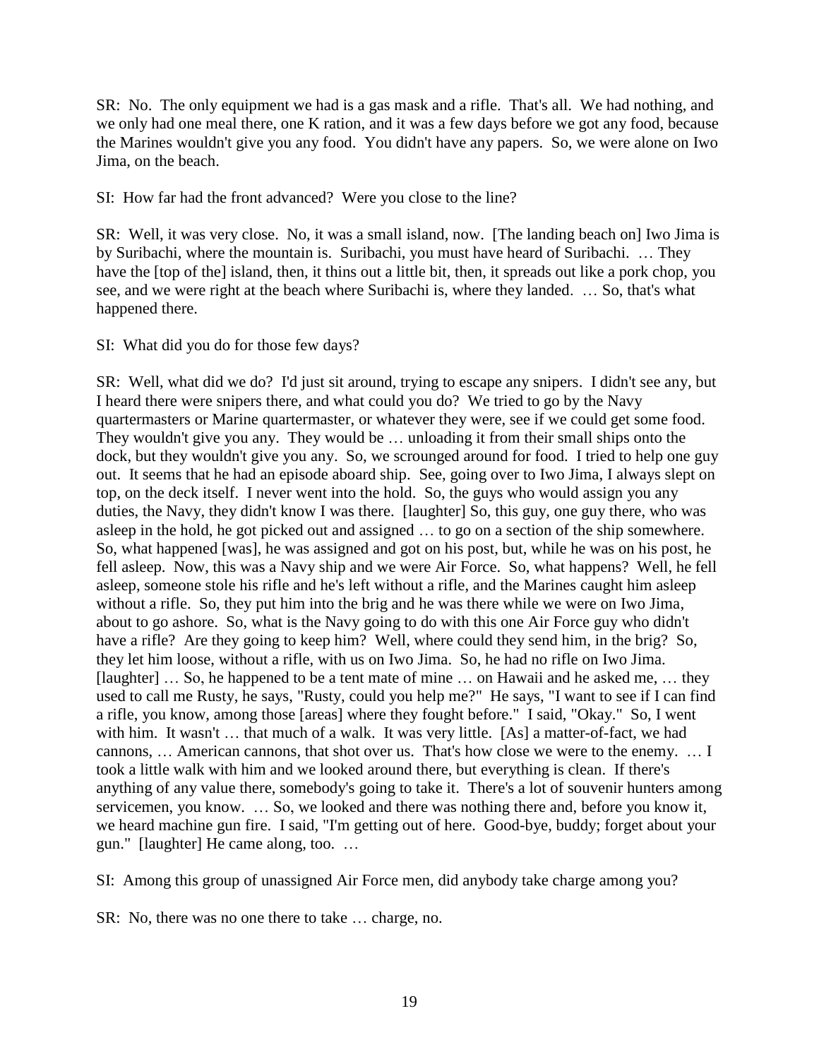SR: No. The only equipment we had is a gas mask and a rifle. That's all. We had nothing, and we only had one meal there, one K ration, and it was a few days before we got any food, because the Marines wouldn't give you any food. You didn't have any papers. So, we were alone on Iwo Jima, on the beach.

SI: How far had the front advanced? Were you close to the line?

SR: Well, it was very close. No, it was a small island, now. [The landing beach on] Iwo Jima is by Suribachi, where the mountain is. Suribachi, you must have heard of Suribachi. … They have the [top of the] island, then, it thins out a little bit, then, it spreads out like a pork chop, you see, and we were right at the beach where Suribachi is, where they landed. … So, that's what happened there.

SI: What did you do for those few days?

SR: Well, what did we do? I'd just sit around, trying to escape any snipers. I didn't see any, but I heard there were snipers there, and what could you do? We tried to go by the Navy quartermasters or Marine quartermaster, or whatever they were, see if we could get some food. They wouldn't give you any. They would be … unloading it from their small ships onto the dock, but they wouldn't give you any. So, we scrounged around for food. I tried to help one guy out. It seems that he had an episode aboard ship. See, going over to Iwo Jima, I always slept on top, on the deck itself. I never went into the hold. So, the guys who would assign you any duties, the Navy, they didn't know I was there. [laughter] So, this guy, one guy there, who was asleep in the hold, he got picked out and assigned … to go on a section of the ship somewhere. So, what happened [was], he was assigned and got on his post, but, while he was on his post, he fell asleep. Now, this was a Navy ship and we were Air Force. So, what happens? Well, he fell asleep, someone stole his rifle and he's left without a rifle, and the Marines caught him asleep without a rifle. So, they put him into the brig and he was there while we were on Iwo Jima, about to go ashore. So, what is the Navy going to do with this one Air Force guy who didn't have a rifle? Are they going to keep him? Well, where could they send him, in the brig? So, they let him loose, without a rifle, with us on Iwo Jima. So, he had no rifle on Iwo Jima. [laughter] … So, he happened to be a tent mate of mine … on Hawaii and he asked me, … they used to call me Rusty, he says, "Rusty, could you help me?" He says, "I want to see if I can find a rifle, you know, among those [areas] where they fought before." I said, "Okay." So, I went with him. It wasn't ... that much of a walk. It was very little. [As] a matter-of-fact, we had cannons, … American cannons, that shot over us. That's how close we were to the enemy. … I took a little walk with him and we looked around there, but everything is clean. If there's anything of any value there, somebody's going to take it. There's a lot of souvenir hunters among servicemen, you know. … So, we looked and there was nothing there and, before you know it, we heard machine gun fire. I said, "I'm getting out of here. Good-bye, buddy; forget about your gun." [laughter] He came along, too. …

SI: Among this group of unassigned Air Force men, did anybody take charge among you?

SR: No, there was no one there to take … charge, no.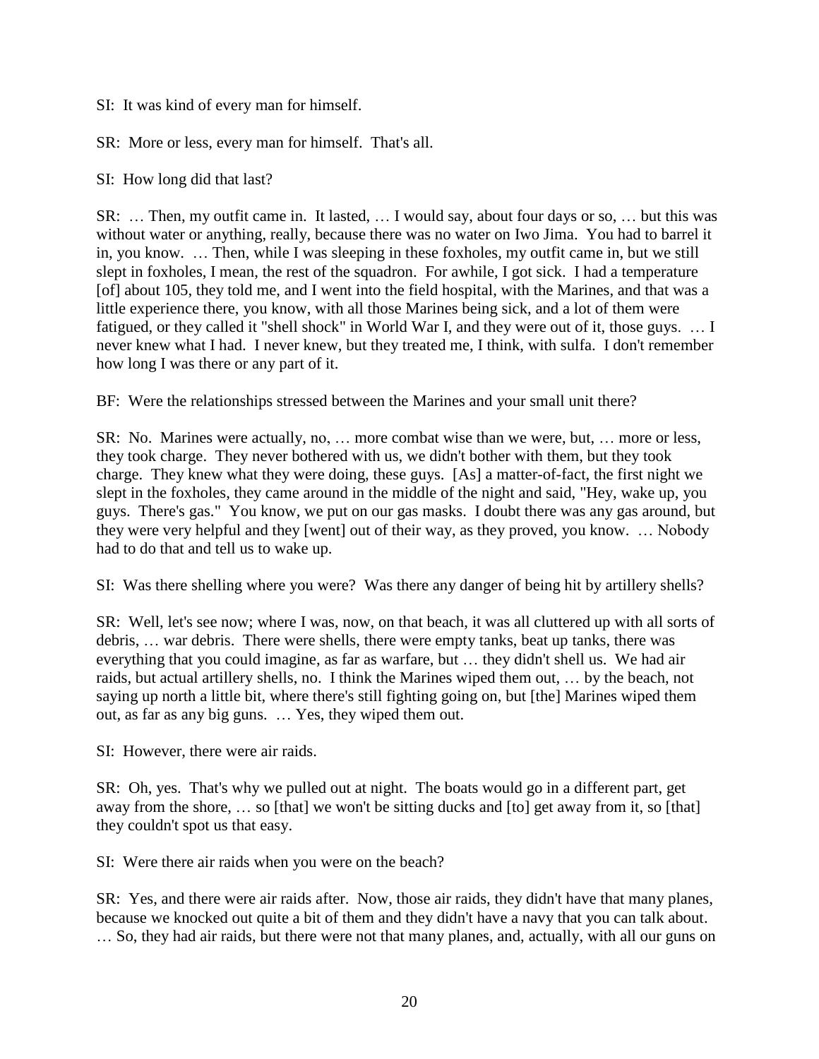SI: It was kind of every man for himself.

SR: More or less, every man for himself. That's all.

SI: How long did that last?

SR: … Then, my outfit came in. It lasted, … I would say, about four days or so, … but this was without water or anything, really, because there was no water on Iwo Jima. You had to barrel it in, you know. … Then, while I was sleeping in these foxholes, my outfit came in, but we still slept in foxholes, I mean, the rest of the squadron. For awhile, I got sick. I had a temperature [of] about 105, they told me, and I went into the field hospital, with the Marines, and that was a little experience there, you know, with all those Marines being sick, and a lot of them were fatigued, or they called it "shell shock" in World War I, and they were out of it, those guys. … I never knew what I had. I never knew, but they treated me, I think, with sulfa. I don't remember how long I was there or any part of it.

BF: Were the relationships stressed between the Marines and your small unit there?

SR: No. Marines were actually, no, … more combat wise than we were, but, … more or less, they took charge. They never bothered with us, we didn't bother with them, but they took charge. They knew what they were doing, these guys. [As] a matter-of-fact, the first night we slept in the foxholes, they came around in the middle of the night and said, "Hey, wake up, you guys. There's gas." You know, we put on our gas masks. I doubt there was any gas around, but they were very helpful and they [went] out of their way, as they proved, you know. … Nobody had to do that and tell us to wake up.

SI: Was there shelling where you were? Was there any danger of being hit by artillery shells?

SR: Well, let's see now; where I was, now, on that beach, it was all cluttered up with all sorts of debris, … war debris. There were shells, there were empty tanks, beat up tanks, there was everything that you could imagine, as far as warfare, but … they didn't shell us. We had air raids, but actual artillery shells, no. I think the Marines wiped them out, … by the beach, not saying up north a little bit, where there's still fighting going on, but [the] Marines wiped them out, as far as any big guns. … Yes, they wiped them out.

SI: However, there were air raids.

SR: Oh, yes. That's why we pulled out at night. The boats would go in a different part, get away from the shore, … so [that] we won't be sitting ducks and [to] get away from it, so [that] they couldn't spot us that easy.

SI: Were there air raids when you were on the beach?

SR: Yes, and there were air raids after. Now, those air raids, they didn't have that many planes, because we knocked out quite a bit of them and they didn't have a navy that you can talk about. … So, they had air raids, but there were not that many planes, and, actually, with all our guns on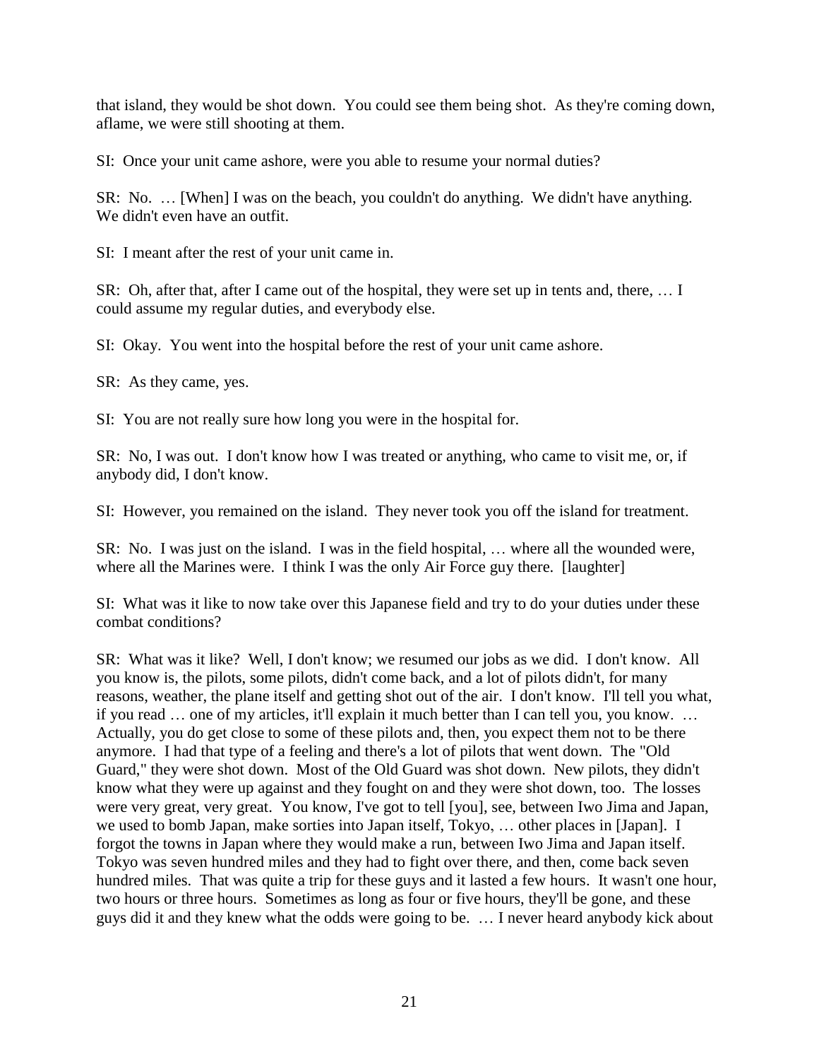that island, they would be shot down. You could see them being shot. As they're coming down, aflame, we were still shooting at them.

SI: Once your unit came ashore, were you able to resume your normal duties?

SR: No. … [When] I was on the beach, you couldn't do anything. We didn't have anything. We didn't even have an outfit.

SI: I meant after the rest of your unit came in.

SR: Oh, after that, after I came out of the hospital, they were set up in tents and, there, … I could assume my regular duties, and everybody else.

SI: Okay. You went into the hospital before the rest of your unit came ashore.

SR: As they came, yes.

SI: You are not really sure how long you were in the hospital for.

SR: No, I was out. I don't know how I was treated or anything, who came to visit me, or, if anybody did, I don't know.

SI: However, you remained on the island. They never took you off the island for treatment.

SR: No. I was just on the island. I was in the field hospital, … where all the wounded were, where all the Marines were. I think I was the only Air Force guy there. [laughter]

SI: What was it like to now take over this Japanese field and try to do your duties under these combat conditions?

SR: What was it like? Well, I don't know; we resumed our jobs as we did. I don't know. All you know is, the pilots, some pilots, didn't come back, and a lot of pilots didn't, for many reasons, weather, the plane itself and getting shot out of the air. I don't know. I'll tell you what, if you read … one of my articles, it'll explain it much better than I can tell you, you know. … Actually, you do get close to some of these pilots and, then, you expect them not to be there anymore. I had that type of a feeling and there's a lot of pilots that went down. The "Old Guard," they were shot down. Most of the Old Guard was shot down. New pilots, they didn't know what they were up against and they fought on and they were shot down, too. The losses were very great, very great. You know, I've got to tell [you], see, between Iwo Jima and Japan, we used to bomb Japan, make sorties into Japan itself, Tokyo, … other places in [Japan]. I forgot the towns in Japan where they would make a run, between Iwo Jima and Japan itself. Tokyo was seven hundred miles and they had to fight over there, and then, come back seven hundred miles. That was quite a trip for these guys and it lasted a few hours. It wasn't one hour, two hours or three hours. Sometimes as long as four or five hours, they'll be gone, and these guys did it and they knew what the odds were going to be. … I never heard anybody kick about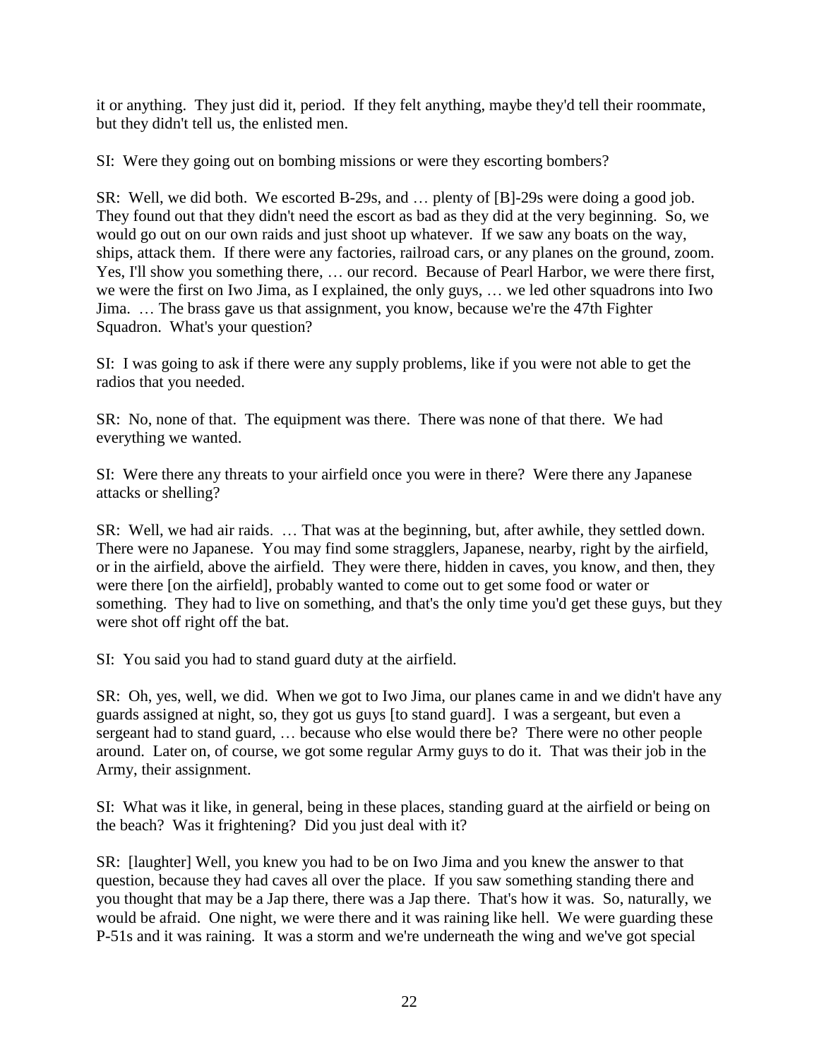it or anything. They just did it, period. If they felt anything, maybe they'd tell their roommate, but they didn't tell us, the enlisted men.

SI: Were they going out on bombing missions or were they escorting bombers?

SR: Well, we did both. We escorted B-29s, and … plenty of [B]-29s were doing a good job. They found out that they didn't need the escort as bad as they did at the very beginning. So, we would go out on our own raids and just shoot up whatever. If we saw any boats on the way, ships, attack them. If there were any factories, railroad cars, or any planes on the ground, zoom. Yes, I'll show you something there, … our record. Because of Pearl Harbor, we were there first, we were the first on Iwo Jima, as I explained, the only guys, … we led other squadrons into Iwo Jima. … The brass gave us that assignment, you know, because we're the 47th Fighter Squadron. What's your question?

SI: I was going to ask if there were any supply problems, like if you were not able to get the radios that you needed.

SR: No, none of that. The equipment was there. There was none of that there. We had everything we wanted.

SI: Were there any threats to your airfield once you were in there? Were there any Japanese attacks or shelling?

SR: Well, we had air raids. … That was at the beginning, but, after awhile, they settled down. There were no Japanese. You may find some stragglers, Japanese, nearby, right by the airfield, or in the airfield, above the airfield. They were there, hidden in caves, you know, and then, they were there [on the airfield], probably wanted to come out to get some food or water or something. They had to live on something, and that's the only time you'd get these guys, but they were shot off right off the bat.

SI: You said you had to stand guard duty at the airfield.

SR: Oh, yes, well, we did. When we got to Iwo Jima, our planes came in and we didn't have any guards assigned at night, so, they got us guys [to stand guard]. I was a sergeant, but even a sergeant had to stand guard, … because who else would there be? There were no other people around. Later on, of course, we got some regular Army guys to do it. That was their job in the Army, their assignment.

SI: What was it like, in general, being in these places, standing guard at the airfield or being on the beach? Was it frightening? Did you just deal with it?

SR: [laughter] Well, you knew you had to be on Iwo Jima and you knew the answer to that question, because they had caves all over the place. If you saw something standing there and you thought that may be a Jap there, there was a Jap there. That's how it was. So, naturally, we would be afraid. One night, we were there and it was raining like hell. We were guarding these P-51s and it was raining. It was a storm and we're underneath the wing and we've got special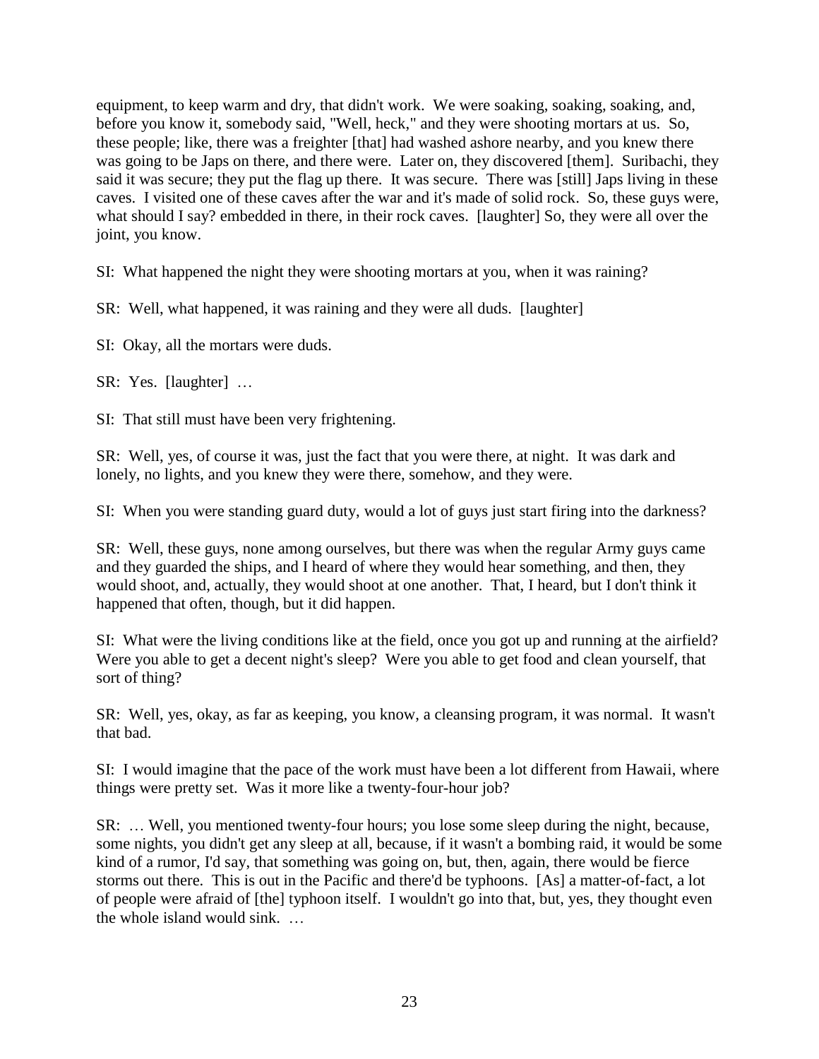equipment, to keep warm and dry, that didn't work. We were soaking, soaking, soaking, and, before you know it, somebody said, "Well, heck," and they were shooting mortars at us. So, these people; like, there was a freighter [that] had washed ashore nearby, and you knew there was going to be Japs on there, and there were. Later on, they discovered [them]. Suribachi, they said it was secure; they put the flag up there. It was secure. There was [still] Japs living in these caves. I visited one of these caves after the war and it's made of solid rock. So, these guys were, what should I say? embedded in there, in their rock caves. [laughter] So, they were all over the joint, you know.

SI: What happened the night they were shooting mortars at you, when it was raining?

SR: Well, what happened, it was raining and they were all duds. [laughter]

SI: Okay, all the mortars were duds.

SR: Yes. [laughter] …

SI: That still must have been very frightening.

SR: Well, yes, of course it was, just the fact that you were there, at night. It was dark and lonely, no lights, and you knew they were there, somehow, and they were.

SI: When you were standing guard duty, would a lot of guys just start firing into the darkness?

SR: Well, these guys, none among ourselves, but there was when the regular Army guys came and they guarded the ships, and I heard of where they would hear something, and then, they would shoot, and, actually, they would shoot at one another. That, I heard, but I don't think it happened that often, though, but it did happen.

SI: What were the living conditions like at the field, once you got up and running at the airfield? Were you able to get a decent night's sleep? Were you able to get food and clean yourself, that sort of thing?

SR: Well, yes, okay, as far as keeping, you know, a cleansing program, it was normal. It wasn't that bad.

SI: I would imagine that the pace of the work must have been a lot different from Hawaii, where things were pretty set. Was it more like a twenty-four-hour job?

SR: … Well, you mentioned twenty-four hours; you lose some sleep during the night, because, some nights, you didn't get any sleep at all, because, if it wasn't a bombing raid, it would be some kind of a rumor, I'd say, that something was going on, but, then, again, there would be fierce storms out there. This is out in the Pacific and there'd be typhoons. [As] a matter-of-fact, a lot of people were afraid of [the] typhoon itself. I wouldn't go into that, but, yes, they thought even the whole island would sink. …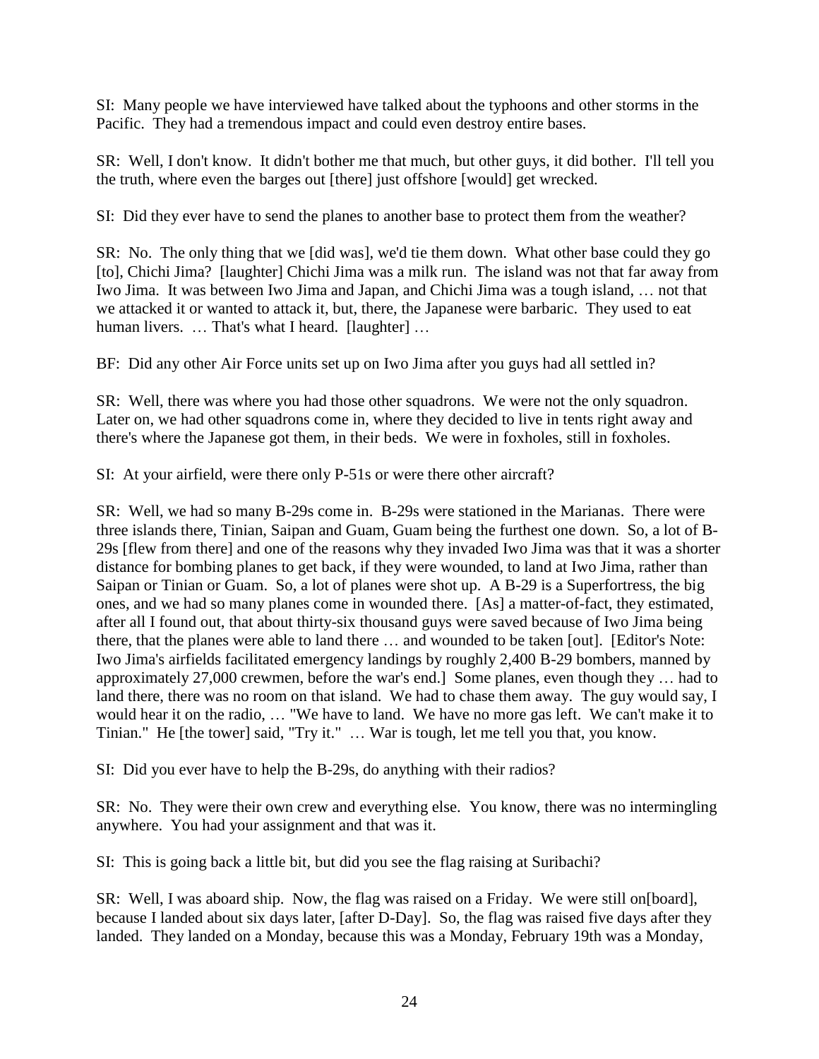SI: Many people we have interviewed have talked about the typhoons and other storms in the Pacific. They had a tremendous impact and could even destroy entire bases.

SR: Well, I don't know. It didn't bother me that much, but other guys, it did bother. I'll tell you the truth, where even the barges out [there] just offshore [would] get wrecked.

SI: Did they ever have to send the planes to another base to protect them from the weather?

SR: No. The only thing that we [did was], we'd tie them down. What other base could they go [to], Chichi Jima? [laughter] Chichi Jima was a milk run. The island was not that far away from Iwo Jima. It was between Iwo Jima and Japan, and Chichi Jima was a tough island, … not that we attacked it or wanted to attack it, but, there, the Japanese were barbaric. They used to eat human livers. ... That's what I heard. [laughter] ...

BF: Did any other Air Force units set up on Iwo Jima after you guys had all settled in?

SR: Well, there was where you had those other squadrons. We were not the only squadron. Later on, we had other squadrons come in, where they decided to live in tents right away and there's where the Japanese got them, in their beds. We were in foxholes, still in foxholes.

SI: At your airfield, were there only P-51s or were there other aircraft?

SR: Well, we had so many B-29s come in. B-29s were stationed in the Marianas. There were three islands there, Tinian, Saipan and Guam, Guam being the furthest one down. So, a lot of B-29s [flew from there] and one of the reasons why they invaded Iwo Jima was that it was a shorter distance for bombing planes to get back, if they were wounded, to land at Iwo Jima, rather than Saipan or Tinian or Guam. So, a lot of planes were shot up. A B-29 is a Superfortress, the big ones, and we had so many planes come in wounded there. [As] a matter-of-fact, they estimated, after all I found out, that about thirty-six thousand guys were saved because of Iwo Jima being there, that the planes were able to land there … and wounded to be taken [out]. [Editor's Note: Iwo Jima's airfields facilitated emergency landings by roughly 2,400 B-29 bombers, manned by approximately 27,000 crewmen, before the war's end.] Some planes, even though they … had to land there, there was no room on that island. We had to chase them away. The guy would say, I would hear it on the radio, … "We have to land. We have no more gas left. We can't make it to Tinian." He [the tower] said, "Try it." … War is tough, let me tell you that, you know.

SI: Did you ever have to help the B-29s, do anything with their radios?

SR: No. They were their own crew and everything else. You know, there was no intermingling anywhere. You had your assignment and that was it.

SI: This is going back a little bit, but did you see the flag raising at Suribachi?

SR: Well, I was aboard ship. Now, the flag was raised on a Friday. We were still on[board], because I landed about six days later, [after D-Day]. So, the flag was raised five days after they landed. They landed on a Monday, because this was a Monday, February 19th was a Monday,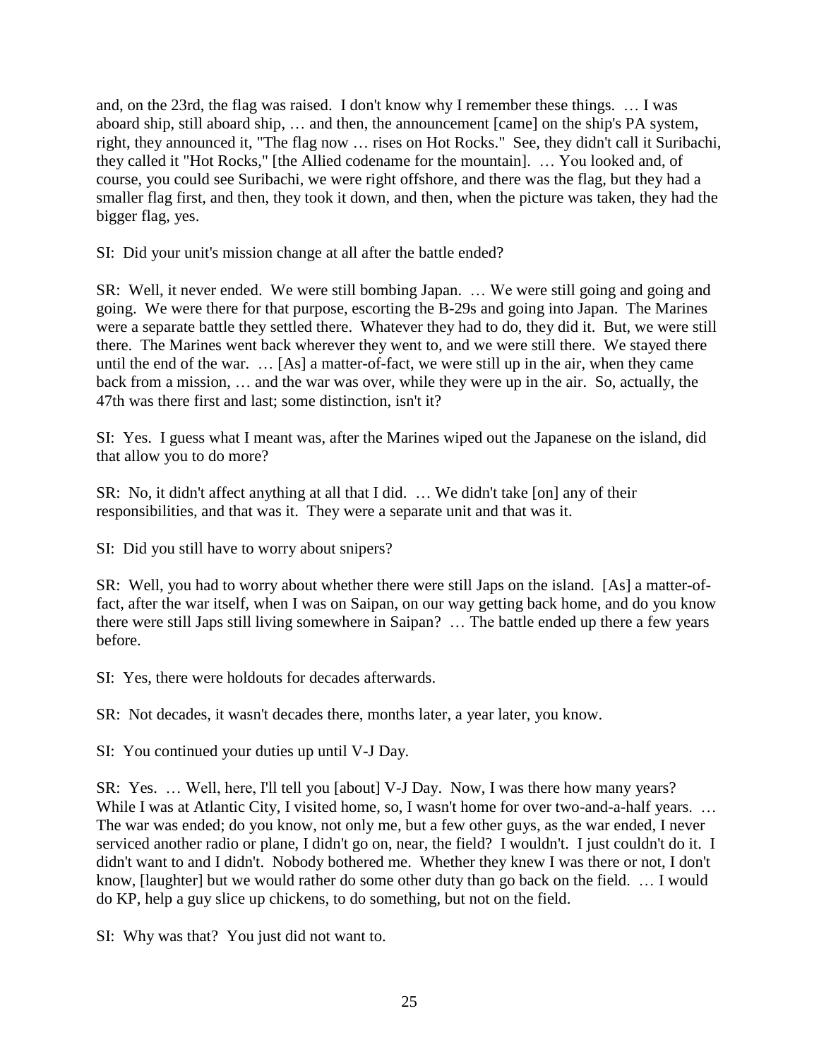and, on the 23rd, the flag was raised. I don't know why I remember these things. … I was aboard ship, still aboard ship, … and then, the announcement [came] on the ship's PA system, right, they announced it, "The flag now … rises on Hot Rocks." See, they didn't call it Suribachi, they called it "Hot Rocks," [the Allied codename for the mountain]. … You looked and, of course, you could see Suribachi, we were right offshore, and there was the flag, but they had a smaller flag first, and then, they took it down, and then, when the picture was taken, they had the bigger flag, yes.

SI: Did your unit's mission change at all after the battle ended?

SR: Well, it never ended. We were still bombing Japan. … We were still going and going and going. We were there for that purpose, escorting the B-29s and going into Japan. The Marines were a separate battle they settled there. Whatever they had to do, they did it. But, we were still there. The Marines went back wherever they went to, and we were still there. We stayed there until the end of the war. … [As] a matter-of-fact, we were still up in the air, when they came back from a mission, … and the war was over, while they were up in the air. So, actually, the 47th was there first and last; some distinction, isn't it?

SI: Yes. I guess what I meant was, after the Marines wiped out the Japanese on the island, did that allow you to do more?

SR: No, it didn't affect anything at all that I did. … We didn't take [on] any of their responsibilities, and that was it. They were a separate unit and that was it.

SI: Did you still have to worry about snipers?

SR: Well, you had to worry about whether there were still Japs on the island. [As] a matter-offact, after the war itself, when I was on Saipan, on our way getting back home, and do you know there were still Japs still living somewhere in Saipan? … The battle ended up there a few years before.

SI: Yes, there were holdouts for decades afterwards.

SR: Not decades, it wasn't decades there, months later, a year later, you know.

SI: You continued your duties up until V-J Day.

SR: Yes. … Well, here, I'll tell you [about] V-J Day. Now, I was there how many years? While I was at Atlantic City, I visited home, so, I wasn't home for over two-and-a-half years. ... The war was ended; do you know, not only me, but a few other guys, as the war ended, I never serviced another radio or plane, I didn't go on, near, the field? I wouldn't. I just couldn't do it. I didn't want to and I didn't. Nobody bothered me. Whether they knew I was there or not, I don't know, [laughter] but we would rather do some other duty than go back on the field. ... I would do KP, help a guy slice up chickens, to do something, but not on the field.

SI: Why was that? You just did not want to.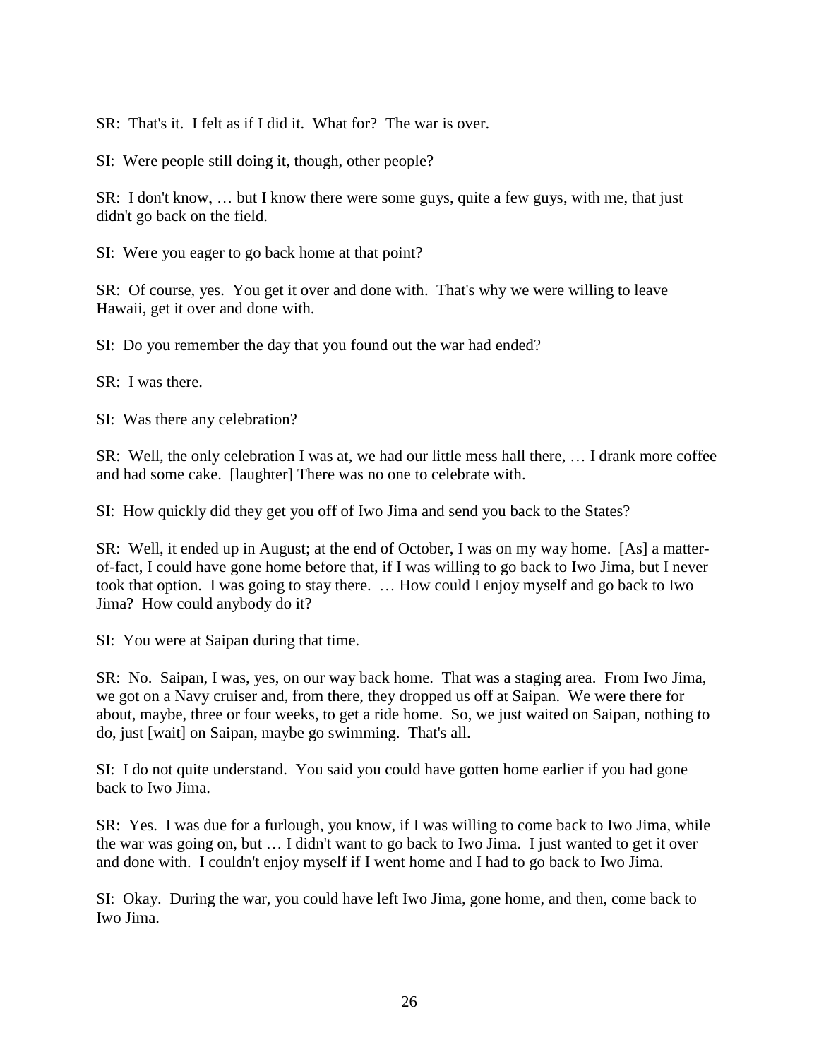SR: That's it. I felt as if I did it. What for? The war is over.

SI: Were people still doing it, though, other people?

SR: I don't know, … but I know there were some guys, quite a few guys, with me, that just didn't go back on the field.

SI: Were you eager to go back home at that point?

SR: Of course, yes. You get it over and done with. That's why we were willing to leave Hawaii, get it over and done with.

SI: Do you remember the day that you found out the war had ended?

SR: I was there.

SI: Was there any celebration?

SR: Well, the only celebration I was at, we had our little mess hall there, … I drank more coffee and had some cake. [laughter] There was no one to celebrate with.

SI: How quickly did they get you off of Iwo Jima and send you back to the States?

SR: Well, it ended up in August; at the end of October, I was on my way home. [As] a matterof-fact, I could have gone home before that, if I was willing to go back to Iwo Jima, but I never took that option. I was going to stay there. … How could I enjoy myself and go back to Iwo Jima? How could anybody do it?

SI: You were at Saipan during that time.

SR: No. Saipan, I was, yes, on our way back home. That was a staging area. From Iwo Jima, we got on a Navy cruiser and, from there, they dropped us off at Saipan. We were there for about, maybe, three or four weeks, to get a ride home. So, we just waited on Saipan, nothing to do, just [wait] on Saipan, maybe go swimming. That's all.

SI: I do not quite understand. You said you could have gotten home earlier if you had gone back to Iwo Jima.

SR: Yes. I was due for a furlough, you know, if I was willing to come back to Iwo Jima, while the war was going on, but … I didn't want to go back to Iwo Jima. I just wanted to get it over and done with. I couldn't enjoy myself if I went home and I had to go back to Iwo Jima.

SI: Okay. During the war, you could have left Iwo Jima, gone home, and then, come back to Iwo Jima.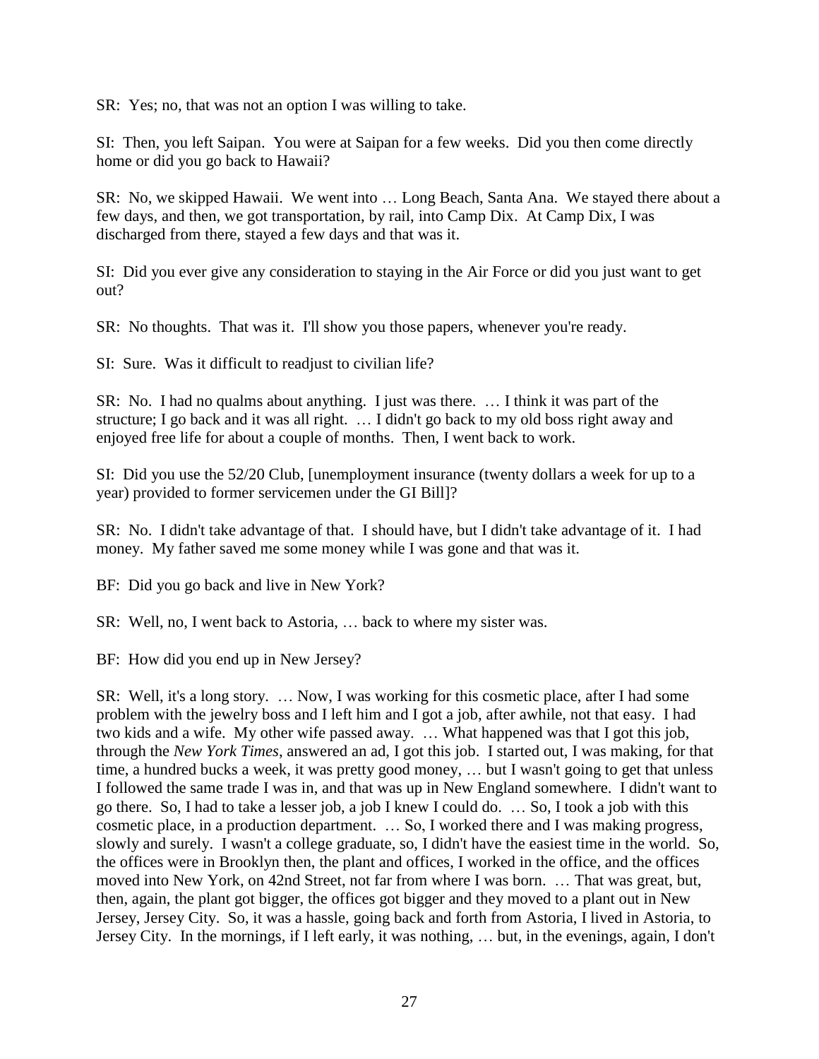SR: Yes; no, that was not an option I was willing to take.

SI: Then, you left Saipan. You were at Saipan for a few weeks. Did you then come directly home or did you go back to Hawaii?

SR: No, we skipped Hawaii. We went into … Long Beach, Santa Ana. We stayed there about a few days, and then, we got transportation, by rail, into Camp Dix. At Camp Dix, I was discharged from there, stayed a few days and that was it.

SI: Did you ever give any consideration to staying in the Air Force or did you just want to get out?

SR: No thoughts. That was it. I'll show you those papers, whenever you're ready.

SI: Sure. Was it difficult to readjust to civilian life?

SR: No. I had no qualms about anything. I just was there. … I think it was part of the structure; I go back and it was all right. … I didn't go back to my old boss right away and enjoyed free life for about a couple of months. Then, I went back to work.

SI: Did you use the 52/20 Club, [unemployment insurance (twenty dollars a week for up to a year) provided to former servicemen under the GI Bill]?

SR: No. I didn't take advantage of that. I should have, but I didn't take advantage of it. I had money. My father saved me some money while I was gone and that was it.

BF: Did you go back and live in New York?

SR: Well, no, I went back to Astoria, … back to where my sister was.

BF: How did you end up in New Jersey?

SR: Well, it's a long story. … Now, I was working for this cosmetic place, after I had some problem with the jewelry boss and I left him and I got a job, after awhile, not that easy. I had two kids and a wife. My other wife passed away. … What happened was that I got this job, through the *New York Times*, answered an ad, I got this job. I started out, I was making, for that time, a hundred bucks a week, it was pretty good money, … but I wasn't going to get that unless I followed the same trade I was in, and that was up in New England somewhere. I didn't want to go there. So, I had to take a lesser job, a job I knew I could do. … So, I took a job with this cosmetic place, in a production department. … So, I worked there and I was making progress, slowly and surely. I wasn't a college graduate, so, I didn't have the easiest time in the world. So, the offices were in Brooklyn then, the plant and offices, I worked in the office, and the offices moved into New York, on 42nd Street, not far from where I was born. … That was great, but, then, again, the plant got bigger, the offices got bigger and they moved to a plant out in New Jersey, Jersey City. So, it was a hassle, going back and forth from Astoria, I lived in Astoria, to Jersey City. In the mornings, if I left early, it was nothing, … but, in the evenings, again, I don't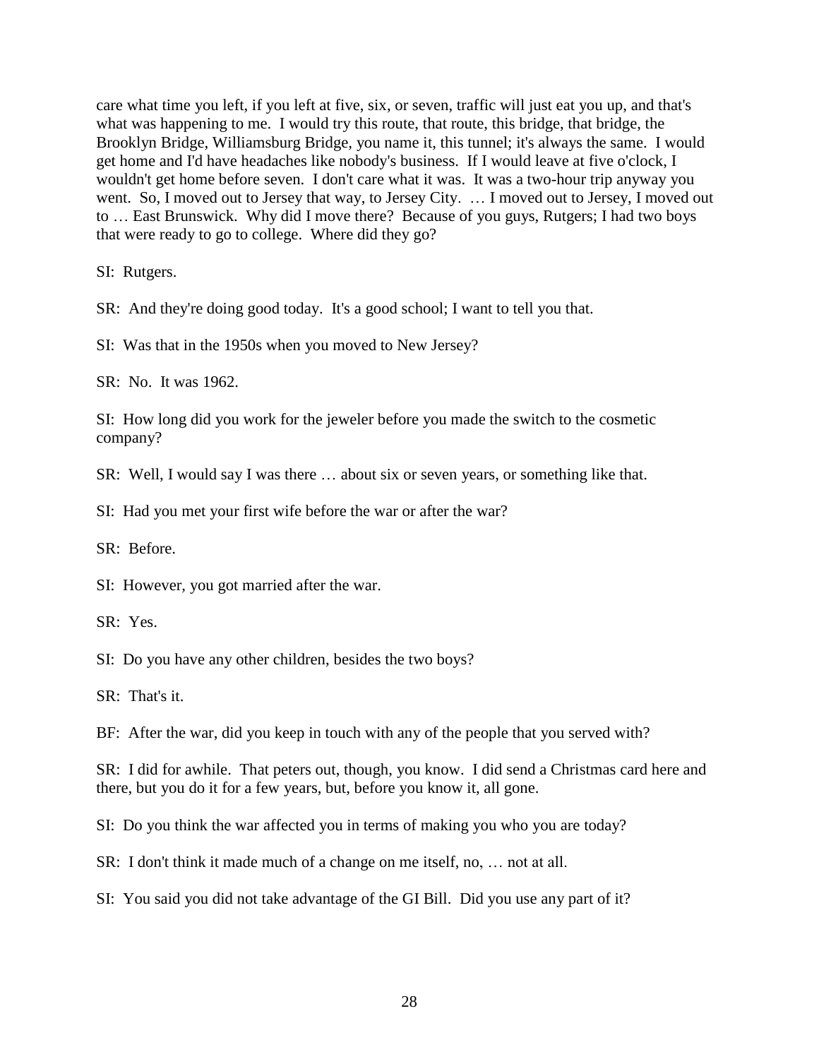care what time you left, if you left at five, six, or seven, traffic will just eat you up, and that's what was happening to me. I would try this route, that route, this bridge, that bridge, the Brooklyn Bridge, Williamsburg Bridge, you name it, this tunnel; it's always the same. I would get home and I'd have headaches like nobody's business. If I would leave at five o'clock, I wouldn't get home before seven. I don't care what it was. It was a two-hour trip anyway you went. So, I moved out to Jersey that way, to Jersey City. ... I moved out to Jersey, I moved out to … East Brunswick. Why did I move there? Because of you guys, Rutgers; I had two boys that were ready to go to college. Where did they go?

SI: Rutgers.

SR: And they're doing good today. It's a good school; I want to tell you that.

SI: Was that in the 1950s when you moved to New Jersey?

SR: No. It was 1962.

SI: How long did you work for the jeweler before you made the switch to the cosmetic company?

SR: Well, I would say I was there … about six or seven years, or something like that.

SI: Had you met your first wife before the war or after the war?

SR: Before.

SI: However, you got married after the war.

SR: Yes.

SI: Do you have any other children, besides the two boys?

SR: That's it.

BF: After the war, did you keep in touch with any of the people that you served with?

SR: I did for awhile. That peters out, though, you know. I did send a Christmas card here and there, but you do it for a few years, but, before you know it, all gone.

SI: Do you think the war affected you in terms of making you who you are today?

SR: I don't think it made much of a change on me itself, no, … not at all.

SI: You said you did not take advantage of the GI Bill. Did you use any part of it?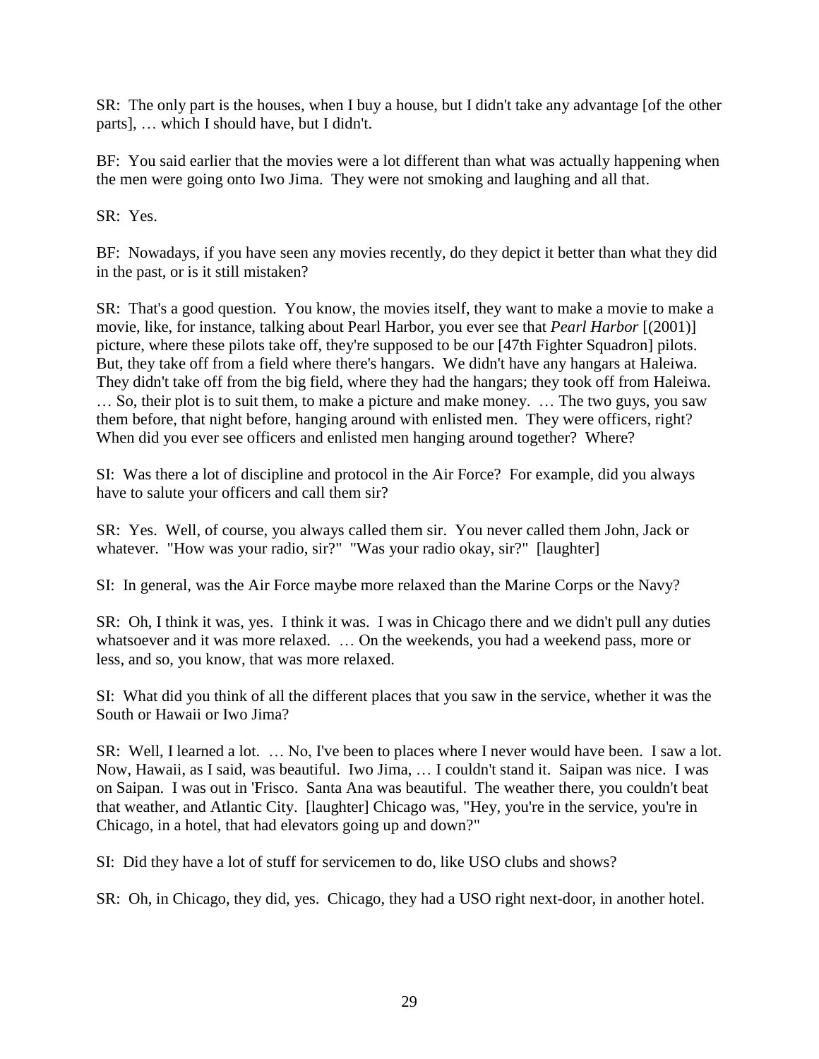SR: The only part is the houses, when I buy a house, but I didn't take any advantage [of the other parts], … which I should have, but I didn't.

BF: You said earlier that the movies were a lot different than what was actually happening when the men were going onto Iwo Jima. They were not smoking and laughing and all that.

SR: Yes.

BF: Nowadays, if you have seen any movies recently, do they depict it better than what they did in the past, or is it still mistaken?

SR: That's a good question. You know, the movies itself, they want to make a movie to make a movie, like, for instance, talking about Pearl Harbor, you ever see that *Pearl Harbor* [(2001)] picture, where these pilots take off, they're supposed to be our [47th Fighter Squadron] pilots. But, they take off from a field where there's hangars. We didn't have any hangars at Haleiwa. They didn't take off from the big field, where they had the hangars; they took off from Haleiwa. … So, their plot is to suit them, to make a picture and make money. … The two guys, you saw them before, that night before, hanging around with enlisted men. They were officers, right? When did you ever see officers and enlisted men hanging around together? Where?

SI: Was there a lot of discipline and protocol in the Air Force? For example, did you always have to salute your officers and call them sir?

SR: Yes. Well, of course, you always called them sir. You never called them John, Jack or whatever. "How was your radio, sir?" "Was your radio okay, sir?" [laughter]

SI: In general, was the Air Force maybe more relaxed than the Marine Corps or the Navy?

SR: Oh, I think it was, yes. I think it was. I was in Chicago there and we didn't pull any duties whatsoever and it was more relaxed. ... On the weekends, you had a weekend pass, more or less, and so, you know, that was more relaxed.

SI: What did you think of all the different places that you saw in the service, whether it was the South or Hawaii or Iwo Jima?

SR: Well, I learned a lot. … No, I've been to places where I never would have been. I saw a lot. Now, Hawaii, as I said, was beautiful. Iwo Jima, … I couldn't stand it. Saipan was nice. I was on Saipan. I was out in 'Frisco. Santa Ana was beautiful. The weather there, you couldn't beat that weather, and Atlantic City. [laughter] Chicago was, "Hey, you're in the service, you're in Chicago, in a hotel, that had elevators going up and down?"

SI: Did they have a lot of stuff for servicemen to do, like USO clubs and shows?

SR: Oh, in Chicago, they did, yes. Chicago, they had a USO right next-door, in another hotel.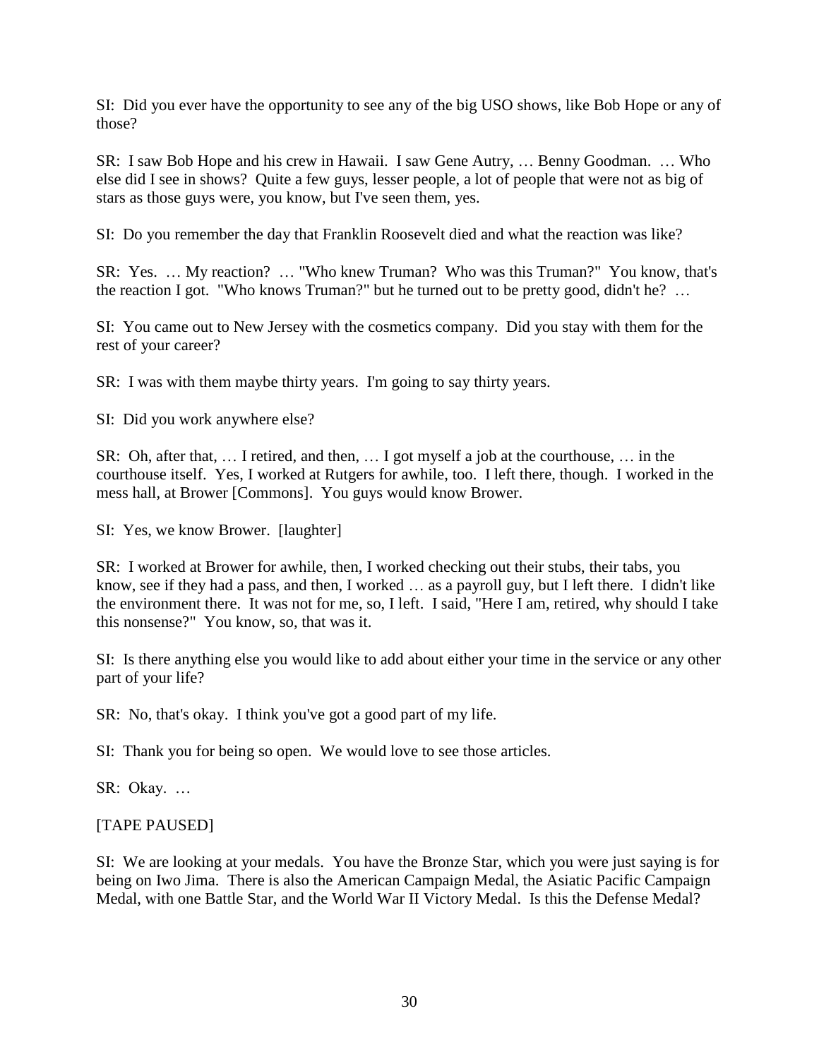SI: Did you ever have the opportunity to see any of the big USO shows, like Bob Hope or any of those?

SR: I saw Bob Hope and his crew in Hawaii. I saw Gene Autry, … Benny Goodman. … Who else did I see in shows? Quite a few guys, lesser people, a lot of people that were not as big of stars as those guys were, you know, but I've seen them, yes.

SI: Do you remember the day that Franklin Roosevelt died and what the reaction was like?

SR: Yes. … My reaction? … "Who knew Truman? Who was this Truman?" You know, that's the reaction I got. "Who knows Truman?" but he turned out to be pretty good, didn't he? …

SI: You came out to New Jersey with the cosmetics company. Did you stay with them for the rest of your career?

SR: I was with them maybe thirty years. I'm going to say thirty years.

SI: Did you work anywhere else?

SR: Oh, after that, … I retired, and then, … I got myself a job at the courthouse, … in the courthouse itself. Yes, I worked at Rutgers for awhile, too. I left there, though. I worked in the mess hall, at Brower [Commons]. You guys would know Brower.

SI: Yes, we know Brower. [laughter]

SR: I worked at Brower for awhile, then, I worked checking out their stubs, their tabs, you know, see if they had a pass, and then, I worked … as a payroll guy, but I left there. I didn't like the environment there. It was not for me, so, I left. I said, "Here I am, retired, why should I take this nonsense?" You know, so, that was it.

SI: Is there anything else you would like to add about either your time in the service or any other part of your life?

SR: No, that's okay. I think you've got a good part of my life.

SI: Thank you for being so open. We would love to see those articles.

SR: Okay. …

## [TAPE PAUSED]

SI: We are looking at your medals. You have the Bronze Star, which you were just saying is for being on Iwo Jima. There is also the American Campaign Medal, the Asiatic Pacific Campaign Medal, with one Battle Star, and the World War II Victory Medal. Is this the Defense Medal?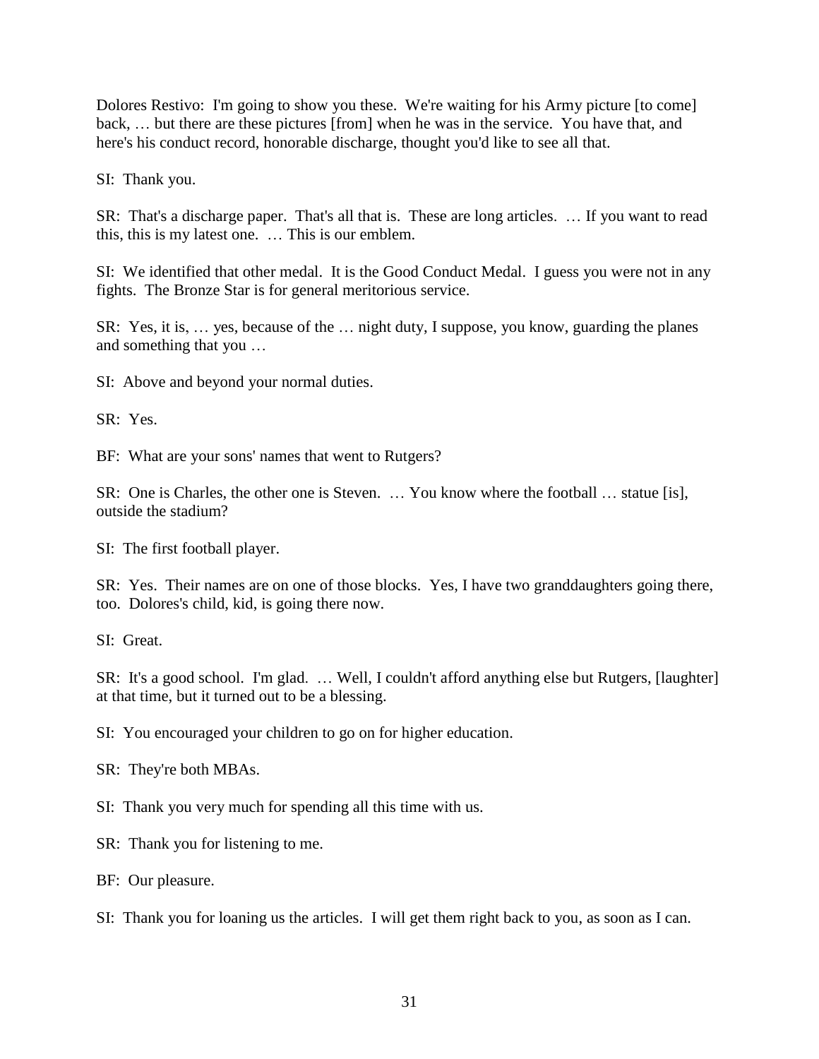Dolores Restivo: I'm going to show you these. We're waiting for his Army picture [to come] back, … but there are these pictures [from] when he was in the service. You have that, and here's his conduct record, honorable discharge, thought you'd like to see all that.

SI: Thank you.

SR: That's a discharge paper. That's all that is. These are long articles. … If you want to read this, this is my latest one. … This is our emblem.

SI: We identified that other medal. It is the Good Conduct Medal. I guess you were not in any fights. The Bronze Star is for general meritorious service.

SR: Yes, it is, … yes, because of the … night duty, I suppose, you know, guarding the planes and something that you …

SI: Above and beyond your normal duties.

SR: Yes.

BF: What are your sons' names that went to Rutgers?

SR: One is Charles, the other one is Steven. … You know where the football … statue [is], outside the stadium?

SI: The first football player.

SR: Yes. Their names are on one of those blocks. Yes, I have two granddaughters going there, too. Dolores's child, kid, is going there now.

SI: Great.

SR: It's a good school. I'm glad. … Well, I couldn't afford anything else but Rutgers, [laughter] at that time, but it turned out to be a blessing.

SI: You encouraged your children to go on for higher education.

SR: They're both MBAs.

SI: Thank you very much for spending all this time with us.

SR: Thank you for listening to me.

BF: Our pleasure.

SI: Thank you for loaning us the articles. I will get them right back to you, as soon as I can.